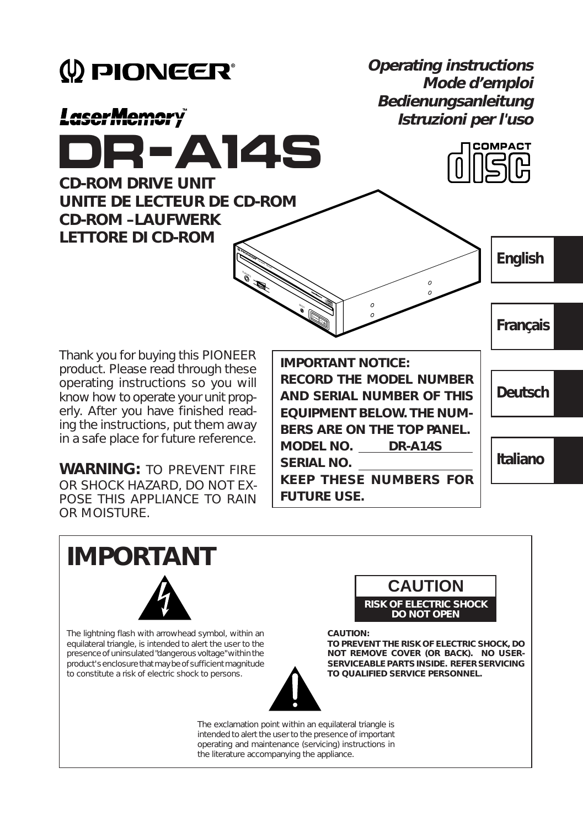

**IMPORTANT FUTURE USE.** POSE THIS APPLIANCE TO RAIN OR MOISTURE.

The lightning flash with arrowhead symbol, within an equilateral triangle, is intended to alert the user to the presence of uninsulated "dangerous voltage" within the product's enclosure that may be of sufficient magnitude to constitute a risk of electric shock to persons.



#### **CAUTION:**

**TO PREVENT THE RISK OF ELECTRIC SHOCK, DO NOT REMOVE COVER (OR BACK). NO USER-SERVICEABLE PARTS INSIDE. REFER SERVICING TO QUALIFIED SERVICE PERSONNEL.**

The exclamation point within an equilateral triangle is intended to alert the user to the presence of important operating and maintenance (servicing) instructions in the literature accompanying the appliance.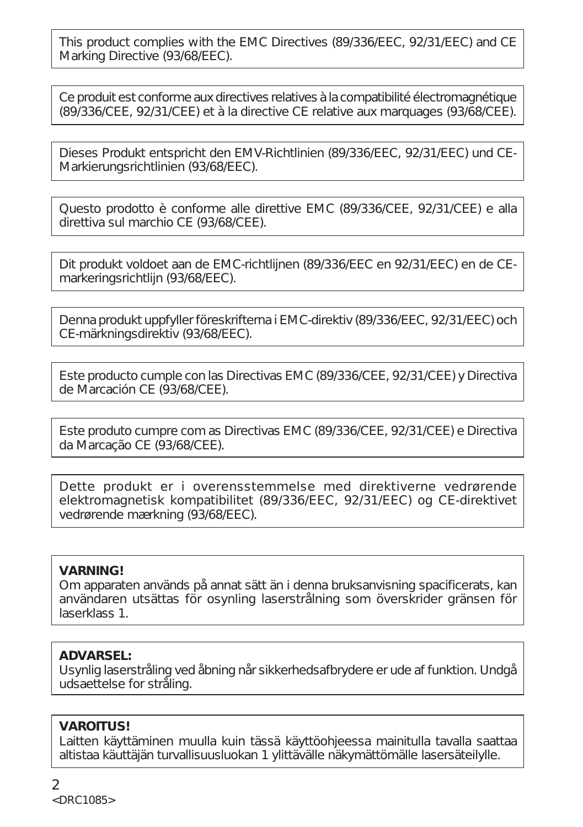This product complies with the EMC Directives (89/336/EEC, 92/31/EEC) and CE Marking Directive (93/68/EEC).

Ce produit est conforme aux directives relatives à la compatibilité électromagnétique (89/336/CEE, 92/31/CEE) et à la directive CE relative aux marquages (93/68/CEE).

Dieses Produkt entspricht den EMV-Richtlinien (89/336/EEC, 92/31/EEC) und CE-Markierungsrichtlinien (93/68/EEC).

Questo prodotto è conforme alle direttive EMC (89/336/CEE, 92/31/CEE) e alla direttiva sul marchio CE (93/68/CEE).

Dit produkt voldoet aan de EMC-richtlijnen (89/336/EEC en 92/31/EEC) en de CEmarkeringsrichtlijn (93/68/EEC).

Denna produkt uppfyller föreskrifterna i EMC-direktiv (89/336/EEC, 92/31/EEC) och CE-märkningsdirektiv (93/68/EEC).

Este producto cumple con las Directivas EMC (89/336/CEE, 92/31/CEE) y Directiva de Marcación CE (93/68/CEE).

Este produto cumpre com as Directivas EMC (89/336/CEE, 92/31/CEE) e Directiva da Marcação CE (93/68/CEE).

Dette produkt er i overensstemmelse med direktiverne vedrørende elektromagnetisk kompatibilitet (89/336/EEC, 92/31/EEC) og CE-direktivet vedrørende mærkning (93/68/EEC).

#### **VARNING!**

Om apparaten används på annat sätt än i denna bruksanvisning spacificerats, kan användaren utsättas för osynling laserstrålning som överskrider gränsen för laserklass 1.

#### **ADVARSEL:**

Usynlig laserstråling ved åbning når sikkerhedsafbrydere er ude af funktion. Undgå udsaettelse for stråling.

### **VAROITUS!**

Laitten käyttäminen muulla kuin tässä käyttöohjeessa mainitulla tavalla saattaa altistaa käuttäjän turvallisuusluokan 1 ylittävälle näkymättömälle lasersäteilylle.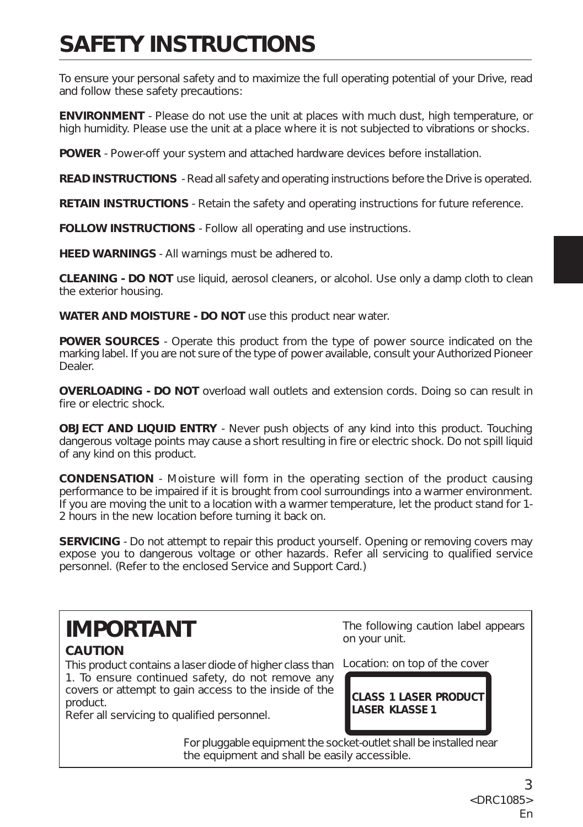# **SAFETY INSTRUCTIONS**

To ensure your personal safety and to maximize the full operating potential of your Drive, read and follow these safety precautions:

**ENVIRONMENT** - Please do not use the unit at places with much dust, high temperature, or high humidity. Please use the unit at a place where it is not subjected to vibrations or shocks.

**POWER** - Power-off your system and attached hardware devices before installation.

**READ INSTRUCTIONS** - Read all safety and operating instructions before the Drive is operated.

**RETAIN INSTRUCTIONS** - Retain the safety and operating instructions for future reference.

**FOLLOW INSTRUCTIONS** - Follow all operating and use instructions.

**HEED WARNINGS** - All warnings must be adhered to.

**CLEANING - DO NOT** use liquid, aerosol cleaners, or alcohol. Use only a damp cloth to clean the exterior housing.

**WATER AND MOISTURE - DO NOT** use this product near water.

**POWER SOURCES** - Operate this product from the type of power source indicated on the marking label. If you are not sure of the type of power available, consult your Authorized Pioneer Dealer.

**OVERLOADING - DO NOT** overload wall outlets and extension cords. Doing so can result in fire or electric shock.

**OBJECT AND LIQUID ENTRY** - Never push objects of any kind into this product. Touching dangerous voltage points may cause a short resulting in fire or electric shock. Do not spill liquid of any kind on this product.

**CONDENSATION** - Moisture will form in the operating section of the product causing performance to be impaired if it is brought from cool surroundings into a warmer environment. If you are moving the unit to a location with a warmer temperature, let the product stand for 1- 2 hours in the new location before turning it back on.

**SERVICING** - Do not attempt to repair this product yourself. Opening or removing covers may expose you to dangerous voltage or other hazards. Refer all servicing to qualified service personnel. (Refer to the enclosed Service and Support Card.)

# **IMPORTANT**

#### **CAUTION**

The following caution label appears on your unit.

This product contains a laser diode of higher class than Location: on top of the cover 1. To ensure continued safety, do not remove any covers or attempt to gain access to the inside of the product.

Refer all servicing to qualified personnel.

**CLASS 1 LASER PRODUCT LASER KLASSE 1**

For pluggable equipment the socket-outlet shall be installed near the equipment and shall be easily accessible.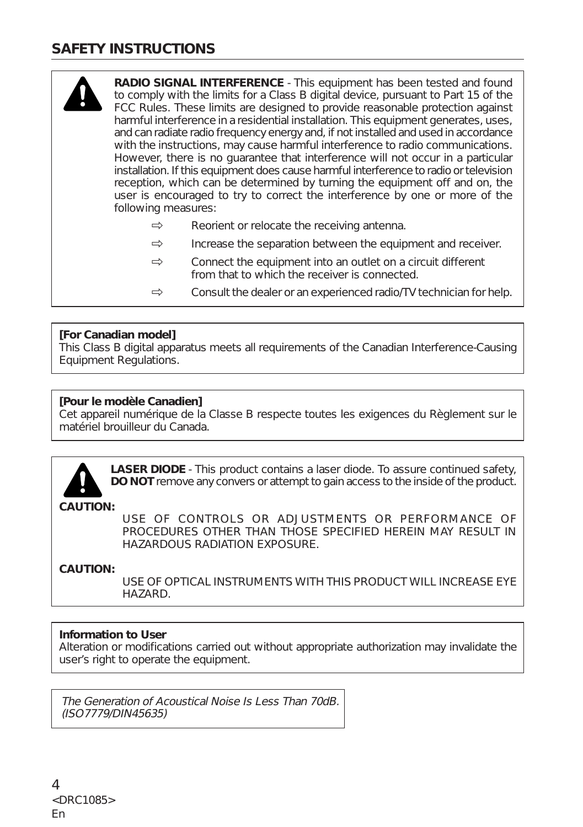### **SAFETY INSTRUCTIONS**



- $\Rightarrow$  Reorient or relocate the receiving antenna.
- $\Rightarrow$  Increase the separation between the equipment and receiver.
- $\Rightarrow$  Connect the equipment into an outlet on a circuit different from that to which the receiver is connected.
- $\Rightarrow$  Consult the dealer or an experienced radio/TV technician for help.

#### **[For Canadian model]**

This Class B digital apparatus meets all requirements of the Canadian Interference-Causing Equipment Regulations.

#### **[Pour le modèle Canadien]**

Cet appareil numérique de la Classe B respecte toutes les exigences du Règlement sur le matériel brouilleur du Canada.



**LASER DIODE** - This product contains a laser diode. To assure continued safety, **DO NOT** remove any convers or attempt to gain access to the inside of the product.

**CAUTION:**

USE OF CONTROLS OR ADJUSTMENTS OR PERFORMANCE OF PROCEDURES OTHER THAN THOSE SPECIFIED HEREIN MAY RESULT IN HAZARDOUS RADIATION EXPOSURE.

#### **CAUTION:**

USE OF OPTICAL INSTRUMENTS WITH THIS PRODUCT WILL INCREASE EYE HAZARD.

#### **Information to User**

Alteration or modifications carried out without appropriate authorization may invalidate the user's right to operate the equipment.

The Generation of Acoustical Noise Is Less Than 70dB. (ISO7779/DIN45635)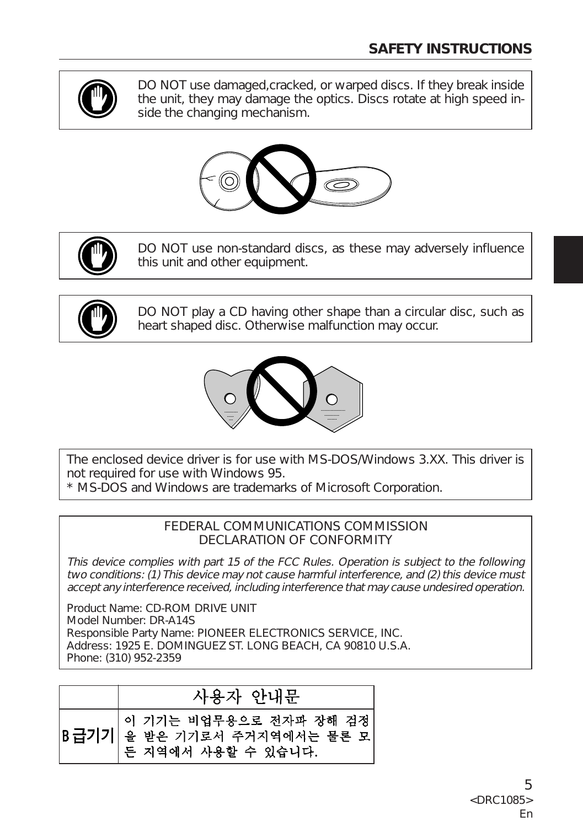

DO NOT use damaged,cracked, or warped discs. If they break inside the unit, they may damage the optics. Discs rotate at high speed inside the changing mechanism.





DO NOT use non-standard discs, as these may adversely influence this unit and other equipment.



DO NOT play a CD having other shape than a circular disc, such as heart shaped disc. Otherwise malfunction may occur.



The enclosed device driver is for use with MS-DOS/Windows 3.XX. This driver is not required for use with Windows 95. \* MS-DOS and Windows are trademarks of Microsoft Corporation.

FEDERAL COMMUNICATIONS COMMISSION

DECLARATION OF CONFORMITY

This device complies with part 15 of the FCC Rules. Operation is subject to the following two conditions: (1) This device may not cause harmful interference, and (2) this device must accept any interference received, including interference that may cause undesired operation.

Product Name: CD-ROM DRIVE UNIT Model Number: DR-A14S Responsible Party Name: PIONEER ELECTRONICS SERVICE, INC. Address: 1925 E. DOMINGUEZ ST. LONG BEACH, CA 90810 U.S.A. Phone: (310) 952-2359

## 사용자 안내문

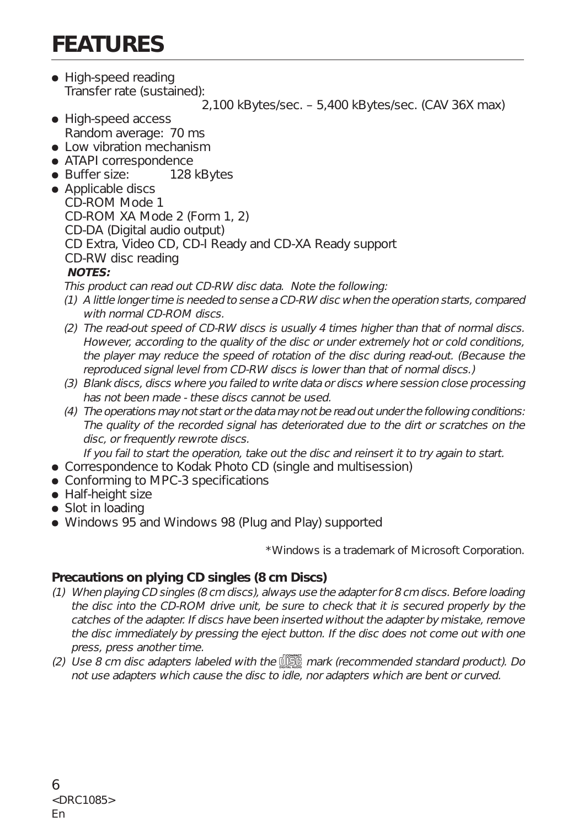# **FEATURES**

• High-speed reading Transfer rate (sustained):

2,100 kBytes/sec. – 5,400 kBytes/sec. (CAV 36X max)

- High-speed access Random average: 70 ms
- Low vibration mechanism
- ATAPI correspondence
- Buffer size: 128 kBytes
- Applicable discs CD-ROM Mode 1 CD-ROM XA Mode 2 (Form 1, 2) CD-DA (Digital audio output) CD Extra, Video CD, CD-I Ready and CD-XA Ready support CD-RW disc reading **NOTES:**

This product can read out CD-RW disc data. Note the following:

- (1) A little longer time is needed to sense a CD-RW disc when the operation starts, compared with normal CD-ROM discs.
- (2) The read-out speed of CD-RW discs is usually 4 times higher than that of normal discs. However, according to the quality of the disc or under extremely hot or cold conditions, the player may reduce the speed of rotation of the disc during read-out. (Because the reproduced signal level from CD-RW discs is lower than that of normal discs.)
- (3) Blank discs, discs where you failed to write data or discs where session close processing has not been made - these discs cannot be used.
- (4) The operations may not start or the data may not be read out under the following conditions: The quality of the recorded signal has deteriorated due to the dirt or scratches on the disc, or frequently rewrote discs.

If you fail to start the operation, take out the disc and reinsert it to try again to start.

- Correspondence to Kodak Photo CD (single and multisession)
- Conforming to MPC-3 specifications
- Half-height size
- Slot in loading
- Windows 95 and Windows 98 (Plug and Play) supported

\*Windows is a trademark of Microsoft Corporation.

#### **Precautions on plying CD singles (8 cm Discs)**

- (1) When playing CD singles (8 cm discs), always use the adapter for 8 cm discs. Before loading the disc into the CD-ROM drive unit, be sure to check that it is secured properly by the catches of the adapter. If discs have been inserted without the adapter by mistake, remove the disc immediately by pressing the eject button. If the disc does not come out with one press, press another time.
- (2) Use 8 cm disc adapters labeled with the  $\frac{156}{156}$  mark (recommended standard product). Do not use adapters which cause the disc to idle, nor adapters which are bent or curved.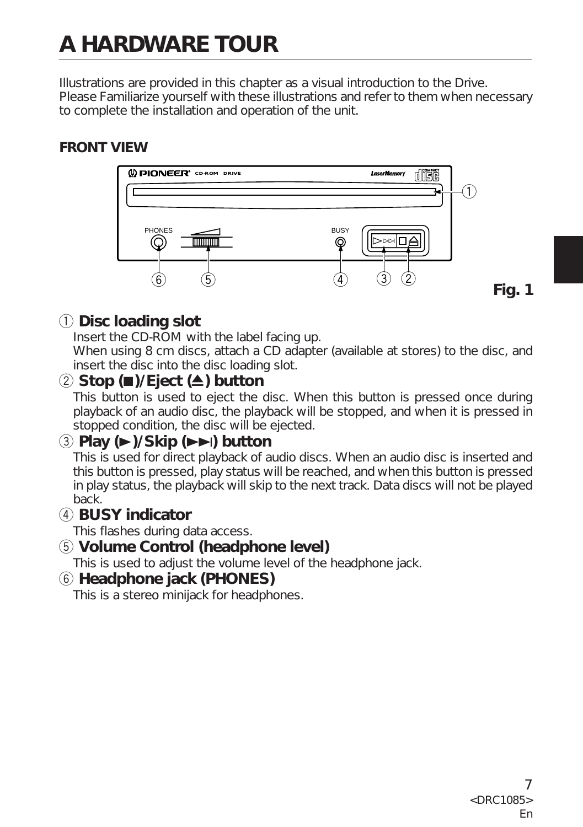# **A HARDWARE TOUR**

Illustrations are provided in this chapter as a visual introduction to the Drive. Please Familiarize yourself with these illustrations and refer to them when necessary to complete the installation and operation of the unit.

### **FRONT VIEW**



## 1 **Disc loading slot**

Insert the CD-ROM with the label facing up.

When using 8 cm discs, attach a CD adapter (available at stores) to the disc, and insert the disc into the disc loading slot.

## 2 **Stop (**7**)/Eject (**0**) button**

This button is used to eject the disc. When this button is pressed once during playback of an audio disc, the playback will be stopped, and when it is pressed in stopped condition, the disc will be ejected.

## 3 **Play (**3**)/Skip (**¢**) button**

This is used for direct playback of audio discs. When an audio disc is inserted and this button is pressed, play status will be reached, and when this button is pressed in play status, the playback will skip to the next track. Data discs will not be played back.

### 4 **BUSY indicator**

This flashes during data access.

### 5 **Volume Control (headphone level)**

This is used to adjust the volume level of the headphone jack.

### 6 **Headphone jack (PHONES)**

This is a stereo minijack for headphones.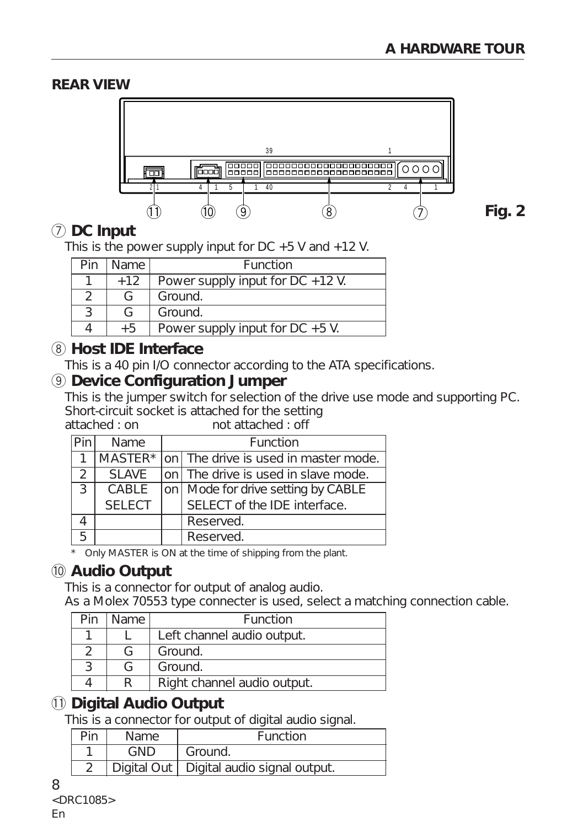### **REAR VIEW**



**Fig. 2**

## 7 **DC Input**

This is the power supply input for  $DC + 5$  V and  $+12$  V.

| Pin | Name  | Function                            |
|-----|-------|-------------------------------------|
|     | $+12$ | Power supply input for $DC + 12$ V. |
|     |       | Ground.                             |
|     |       | Ground.                             |
|     | $+5$  | Power supply input for $DC + 5$ V.  |

## 8 **Host IDE Interface**

This is a 40 pin I/O connector according to the ATA specifications.

### 9 **Device Configuration Jumper**

This is the jumper switch for selection of the drive use mode and supporting PC. Short-circuit socket is attached for the setting<br>attached : on  $A$  of attached : off

not attached : off

|   | Name          | Function                                     |
|---|---------------|----------------------------------------------|
|   |               | MASTER* on The drive is used in master mode. |
| 2 | <b>SLAVE</b>  | on The drive is used in slave mode.          |
| 3 | CABLE         | on   Mode for drive setting by CABLE         |
|   | <b>SELECT</b> | SELECT of the IDE interface.                 |
|   |               | Reserved.                                    |
| 5 |               | Reserved.                                    |

Only MASTER is ON at the time of shipping from the plant.

## 0 **Audio Output**

This is a connector for output of analog audio.

As a Molex 70553 type connecter is used, select a matching connection cable.

| Pin | Name | Function                    |
|-----|------|-----------------------------|
|     |      | Left channel audio output.  |
|     |      | Ground.                     |
|     |      | Ground.                     |
|     |      | Right channel audio output. |

## - **Digital Audio Output**

This is a connector for output of digital audio signal.

| Name. | <b>Function</b>                            |
|-------|--------------------------------------------|
| GND   | Ground.                                    |
|       | Digital Out   Digital audio signal output. |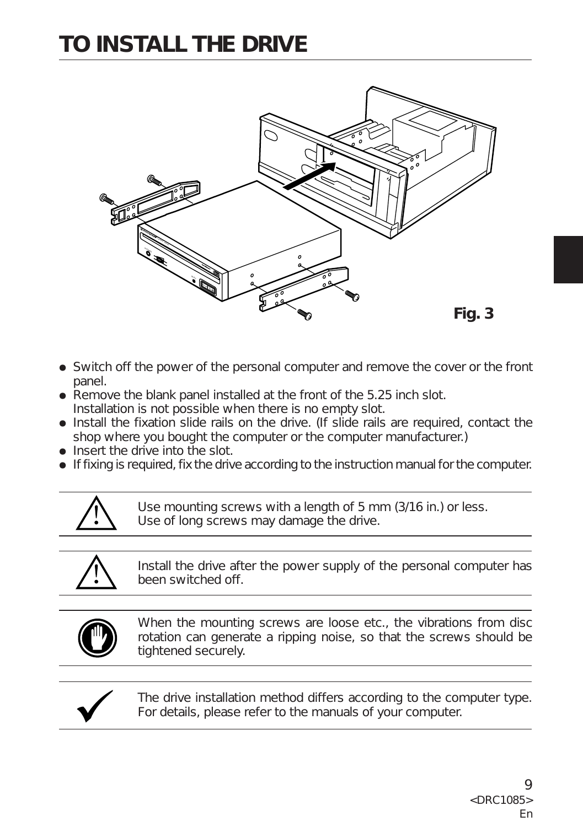# **TO INSTALL THE DRIVE**



- Switch off the power of the personal computer and remove the cover or the front panel.
- $\bullet$  Remove the blank panel installed at the front of the 5.25 inch slot. Installation is not possible when there is no empty slot.
- Install the fixation slide rails on the drive. (If slide rails are required, contact the shop where you bought the computer or the computer manufacturer.)
- Insert the drive into the slot.
- $\bullet$  If fixing is required, fix the drive according to the instruction manual for the computer.



Use mounting screws with a length of 5 mm (3/16 in.) or less. Use of long screws may damage the drive.



Install the drive after the power supply of the personal computer has been switched off.



When the mounting screws are loose etc., the vibrations from disc rotation can generate a ripping noise, so that the screws should be tightened securely.



The drive installation method differs according to the computer type. For details, please refer to the manuals of your computer.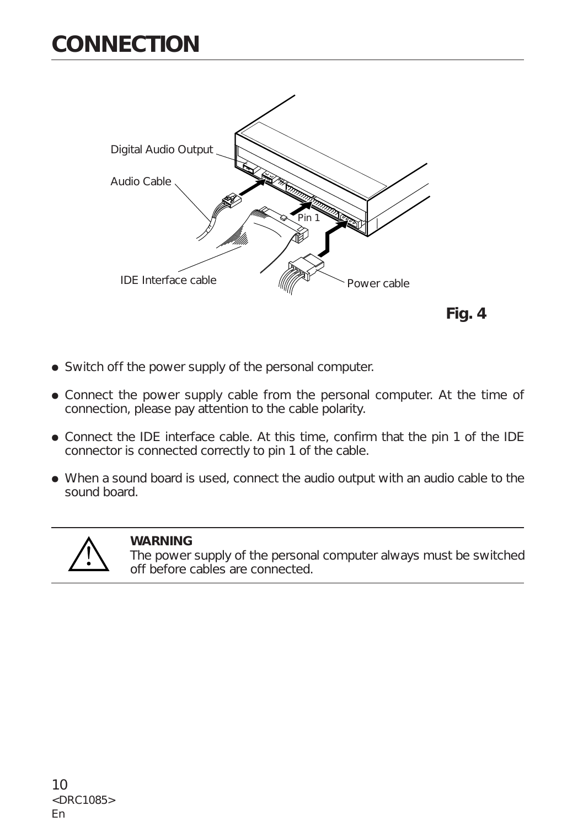## **CONNECTION**





- Switch off the power supply of the personal computer.
- Connect the power supply cable from the personal computer. At the time of connection, please pay attention to the cable polarity.
- Connect the IDE interface cable. At this time, confirm that the pin 1 of the IDE connector is connected correctly to pin 1 of the cable.
- When a sound board is used, connect the audio output with an audio cable to the sound board.



#### **WARNING**

The power supply of the personal computer always must be switched off before cables are connected.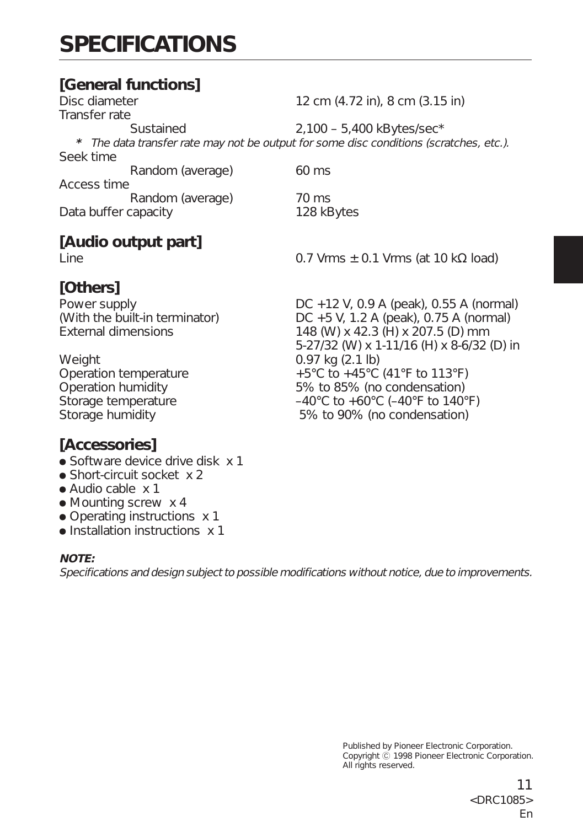## **SPECIFICATIONS**

# **[General functions]**

12 cm (4.72 in), 8 cm (3.15 in) Transfer rate Sustained 2,100 – 5,400 kBytes/sec\* **\*** The data transfer rate may not be output for some disc conditions (scratches, etc.). Seek time Random (average) 60 ms Access time Random (average) 70 ms Data buffer capacity 128 kBytes

## **[Audio output part]**

## **[Others]**

Weight 0.97 kg (2.1 lb)

## **[Accessories]**

- Software device drive disk x 1
- Short-circuit socket x 2
- Audio cable x 1
- Mounting screw x 4
- Operating instructions x 1
- Installation instructions x 1

#### **NOTE:**

Specifications and design subject to possible modifications without notice, due to improvements.

Line  $0.7 \text{ Vrms} + 0.1 \text{ Vrms (at 10 k}\Omega \text{ load})$ 

Power supply DC +12 V, 0.9 A (peak), 0.55 A (normal) (With the built-in terminator) DC +5 V, 1.2 A (peak), 0.75 A (normal) External dimensions 148 (W) x 42.3 (H) x 207.5 (D) mm 5-27/32 (W) x 1-11/16 (H) x 8-6/32 (D) in Operation temperature  $+5^{\circ}$ C to  $+45^{\circ}$ C (41°F to 113°F) Operation humidity 5% to 85% (no condensation) Storage temperature  $-40^{\circ}$ C to  $+60^{\circ}$ C  $(-40^{\circ}$ F to  $140^{\circ}$ F) Storage humidity 5% to 90% (no condensation)

> Published by Pioneer Electronic Corporation. Copyright  $\ddot{\odot}$  1998 Pioneer Electronic Corporation. All rights reserved.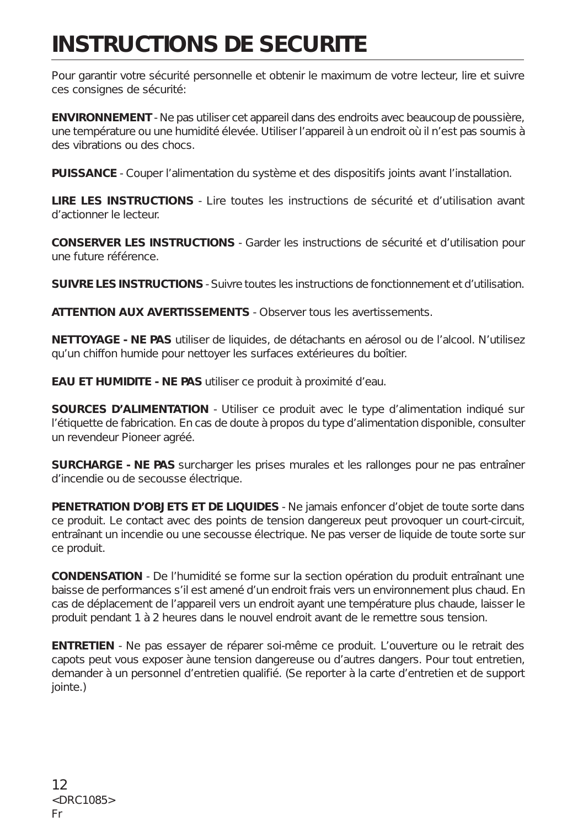## **INSTRUCTIONS DE SECURITE**

Pour garantir votre sécurité personnelle et obtenir le maximum de votre lecteur, lire et suivre ces consignes de sécurité:

**ENVIRONNEMENT** - Ne pas utiliser cet appareil dans des endroits avec beaucoup de poussière, une température ou une humidité élevée. Utiliser l'appareil à un endroit où il n'est pas soumis à des vibrations ou des chocs.

**PUISSANCE** - Couper l'alimentation du système et des dispositifs joints avant l'installation.

**LIRE LES INSTRUCTIONS** - Lire toutes les instructions de sécurité et d'utilisation avant d'actionner le lecteur.

**CONSERVER LES INSTRUCTIONS** - Garder les instructions de sécurité et d'utilisation pour une future référence.

**SUIVRE LES INSTRUCTIONS** - Suivre toutes les instructions de fonctionnement et d'utilisation.

**ATTENTION AUX AVERTISSEMENTS** - Observer tous les avertissements.

**NETTOYAGE - NE PAS** utiliser de liquides, de détachants en aérosol ou de l'alcool. N'utilisez qu'un chiffon humide pour nettoyer les surfaces extérieures du boîtier.

**EAU ET HUMIDITE - NE PAS** utiliser ce produit à proximité d'eau.

**SOURCES D'ALIMENTATION** - Utiliser ce produit avec le type d'alimentation indiqué sur l'étiquette de fabrication. En cas de doute à propos du type d'alimentation disponible, consulter un revendeur Pioneer agréé.

**SURCHARGE - NE PAS** surcharger les prises murales et les rallonges pour ne pas entraîner d'incendie ou de secousse électrique.

**PENETRATION D'OBJETS ET DE LIQUIDES** - Ne jamais enfoncer d'objet de toute sorte dans ce produit. Le contact avec des points de tension dangereux peut provoquer un court-circuit, entraînant un incendie ou une secousse électrique. Ne pas verser de liquide de toute sorte sur ce produit.

**CONDENSATION** - De l'humidité se forme sur la section opération du produit entraînant une baisse de performances s'il est amené d'un endroit frais vers un environnement plus chaud. En cas de déplacement de l'appareil vers un endroit ayant une température plus chaude, laisser le produit pendant 1 à 2 heures dans le nouvel endroit avant de le remettre sous tension.

**ENTRETIEN** - Ne pas essayer de réparer soi-même ce produit. L'ouverture ou le retrait des capots peut vous exposer àune tension dangereuse ou d'autres dangers. Pour tout entretien, demander à un personnel d'entretien qualifié. (Se reporter à la carte d'entretien et de support jointe.)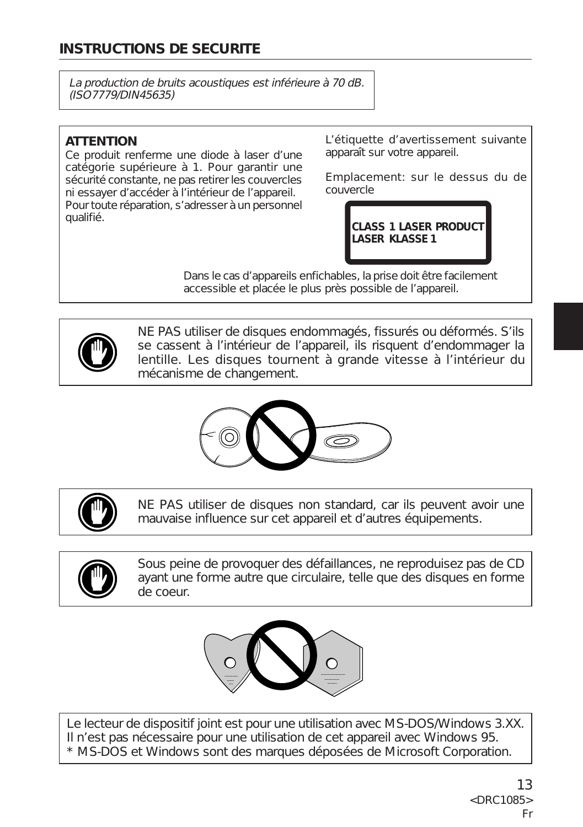## **INSTRUCTIONS DE SECURITE**

La production de bruits acoustiques est inférieure à 70 dB. (ISO7779/DIN45635)

#### **ATTENTION**

Ce produit renferme une diode à laser d'une catégorie supérieure à 1. Pour garantir une sécurité constante, ne pas retirer les couvercles ni essayer d'accéder à l'intérieur de l'appareil. Pour toute réparation, s'adresser à un personnel qualifié.

L'étiquette d'avertissement suivante apparaît sur votre appareil.

Emplacement: sur le dessus du de couvercle

> **CLASS 1 LASER PRODUCT LASER KLASSE 1**

Dans le cas d'appareils enfichables, la prise doit être facilement accessible et placée le plus près possible de l'appareil.



NE PAS utiliser de disques endommagés, fissurés ou déformés. S'ils se cassent à l'intérieur de l'appareil, ils risquent d'endommager la lentille. Les disques tournent à grande vitesse à l'intérieur du mécanisme de changement.





NE PAS utiliser de disques non standard, car ils peuvent avoir une mauvaise influence sur cet appareil et d'autres équipements.



Sous peine de provoquer des défaillances, ne reproduisez pas de CD ayant une forme autre que circulaire, telle que des disques en forme de coeur.



Le lecteur de dispositif joint est pour une utilisation avec MS-DOS/Windows 3.XX. Il n'est pas nécessaire pour une utilisation de cet appareil avec Windows 95. \* MS-DOS et Windows sont des marques déposées de Microsoft Corporation.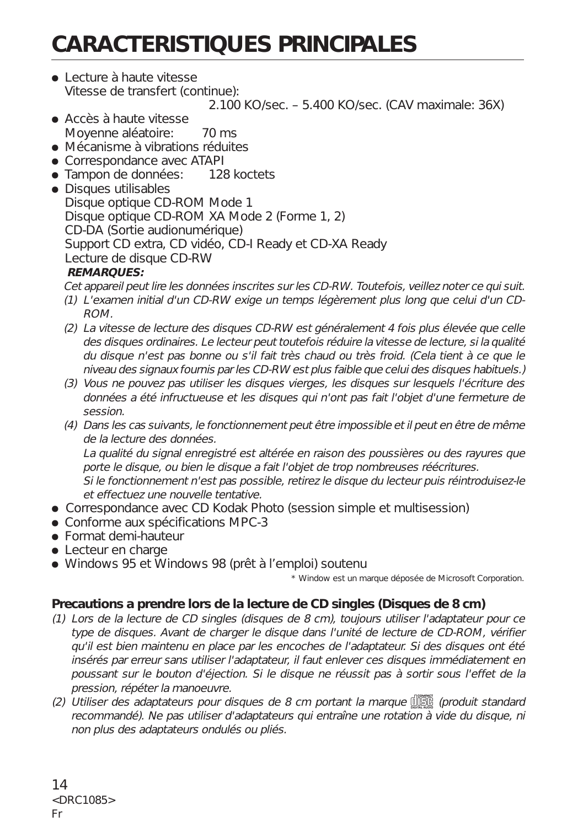# **CARACTERISTIQUES PRINCIPALES**

● Lecture à haute vitesse Vitesse de transfert (continue):

2.100 KO/sec. – 5.400 KO/sec. (CAV maximale: 36X)

- ÷ Accès à haute vitesse Moyenne aléatoire: 70 ms
- Mécanisme à vibrations réduites
- Correspondance avec ATAPI
- Tampon de données: 128 koctets
- Disques utilisables Disque optique CD-ROM Mode 1 Disque optique CD-ROM XA Mode 2 (Forme 1, 2) CD-DA (Sortie audionumérique) Support CD extra, CD vidéo, CD-I Ready et CD-XA Ready Lecture de disque CD-RW

#### **REMARQUES:**

Cet appareil peut lire les données inscrites sur les CD-RW. Toutefois, veillez noter ce qui suit.

- (1) L'examen initial d'un CD-RW exige un temps légèrement plus long que celui d'un CD-ROM.
- (2) La vitesse de lecture des disques CD-RW est généralement 4 fois plus élevée que celle des disques ordinaires. Le lecteur peut toutefois réduire la vitesse de lecture, si la qualité du disque n'est pas bonne ou s'il fait très chaud ou très froid. (Cela tient à ce que le niveau des signaux fournis par les CD-RW est plus faible que celui des disques habituels.)
- (3) Vous ne pouvez pas utiliser les disques vierges, les disques sur lesquels l'écriture des données a été infructueuse et les disques qui n'ont pas fait l'objet d'une fermeture de session.
- (4) Dans les cas suivants, le fonctionnement peut être impossible et il peut en être de même de la lecture des données.

La qualité du signal enregistré est altérée en raison des poussières ou des rayures que porte le disque, ou bien le disque a fait l'objet de trop nombreuses réécritures. Si le fonctionnement n'est pas possible, retirez le disque du lecteur puis réintroduisez-le

- et effectuez une nouvelle tentative. • Correspondance avec CD Kodak Photo (session simple et multisession)
- Conforme aux spécifications MPC-3
- Format demi-hauteur
- Lecteur en charge
- ÷ Windows 95 et Windows 98 (prêt à l'emploi) soutenu

\* Window est un marque déposée de Microsoft Corporation.

### **Precautions a prendre lors de la lecture de CD singles (Disques de 8 cm)**

- (1) Lors de la lecture de CD singles (disques de 8 cm), toujours utiliser l'adaptateur pour ce type de disques. Avant de charger le disque dans l'unité de lecture de CD-ROM, vérifier qu'il est bien maintenu en place par les encoches de l'adaptateur. Si des disques ont été insérés par erreur sans utiliser l'adaptateur, il faut enlever ces disques immédiatement en poussant sur le bouton d'éjection. Si le disque ne réussit pas à sortir sous l'effet de la pression, répéter la manoeuvre.
- (2) Utiliser des adaptateurs pour disques de 8 cm portant la marque d這。 (produit standard recommandé). Ne pas utiliser d'adaptateurs qui entraîne une rotation à vide du disque, ni non plus des adaptateurs ondulés ou pliés.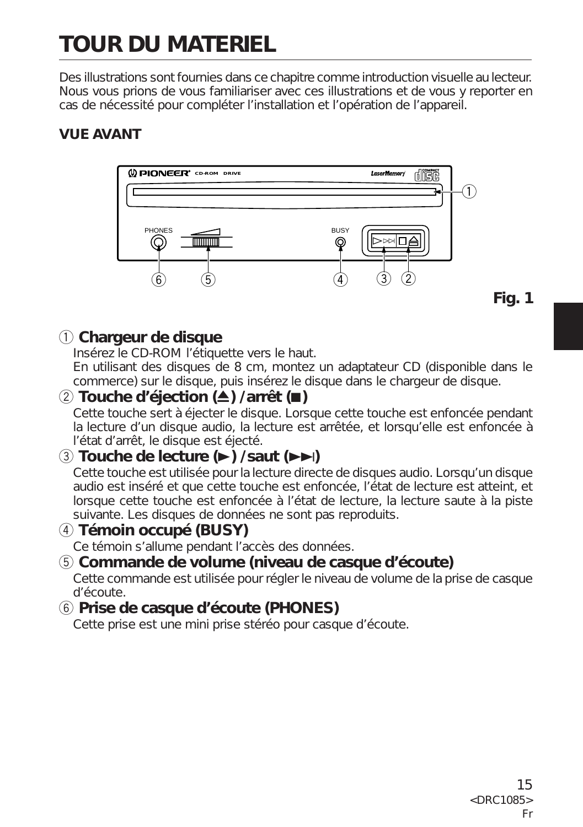# **TOUR DU MATERIEL**

Des illustrations sont fournies dans ce chapitre comme introduction visuelle au lecteur. Nous vous prions de vous familiariser avec ces illustrations et de vous y reporter en cas de nécessité pour compléter l'installation et l'opération de l'appareil.

### **VUE AVANT**



**Fig. 1**

## 1 **Chargeur de disque**

Insérez le CD-ROM l'étiquette vers le haut.

En utilisant des disques de 8 cm, montez un adaptateur CD (disponible dans le commerce) sur le disque, puis insérez le disque dans le chargeur de disque.

## 2 **Touche d'éjection (**0**) /arrêt (**7**)**

Cette touche sert à éjecter le disque. Lorsque cette touche est enfoncée pendant la lecture d'un disque audio, la lecture est arrêtée, et lorsqu'elle est enfoncée à l'état d'arrêt, le disque est éjecté.

## 3 **Touche de lecture (**3**) /saut (**¢**)**

Cette touche est utilisée pour la lecture directe de disques audio. Lorsqu'un disque audio est inséré et que cette touche est enfoncée, l'état de lecture est atteint, et lorsque cette touche est enfoncée à l'état de lecture, la lecture saute à la piste suivante. Les disques de données ne sont pas reproduits.

## 4 **Témoin occupé (BUSY)**

Ce témoin s'allume pendant l'accès des données.

## 5 **Commande de volume (niveau de casque d'écoute)**

Cette commande est utilisée pour régler le niveau de volume de la prise de casque d'écoute.

## 6 **Prise de casque d'écoute (PHONES)**

Cette prise est une mini prise stéréo pour casque d'écoute.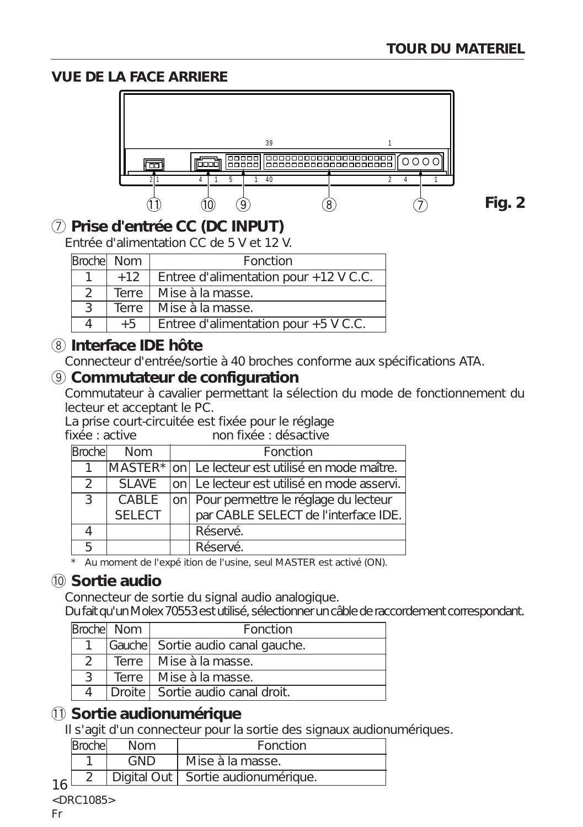### **VUE DE LA FACE ARRIERE**



**Fig. 2**

## 7 **Prise d'entrée CC (DC INPUT)**

Entrée d'alimentation CC de 5 V et 12 V.

| Brochel Nom |              | Fonction                               |
|-------------|--------------|----------------------------------------|
|             | $+12$        | Entree d'alimentation pour +12 V C.C.  |
|             |              | Terre   Mise à la masse.               |
|             | <b>Terre</b> | Mise à la masse.                       |
|             | $+5$         | Entree d'alimentation pour $+5$ V C.C. |

## 8 **Interface IDE hôte**

Connecteur d'entrée/sortie à 40 broches conforme aux spécifications ATA.

### 9 **Commutateur de configuration**

Commutateur à cavalier permettant la sélection du mode de fonctionnement du lecteur et acceptant le PC.

La prise court-circuitée est fixée pour le réglage<br>fixée : active non fixée : désactive

## fixée : active non fixée : désactive

| Brochel       | Nom           | Fonction                                          |
|---------------|---------------|---------------------------------------------------|
|               |               | MASTER* on Le lecteur est utilisé en mode maître. |
| $\mathcal{L}$ | SI AVE        | on Le lecteur est utilisé en mode asservi.        |
| ્ર            | CABLE         | on   Pour permettre le réglage du lecteur         |
|               | <b>SELECT</b> | par CABLE SELECT de l'interface IDE.              |
|               |               | Réservé.                                          |
|               |               | Réservé.                                          |

\* Au moment de l'expé ition de l'usine, seul MASTER est activé (ON).

## 0 **Sortie audio**

Connecteur de sortie du signal audio analogique.

Du fait qu'un Molex 70553 est utilisé, sélectionner un câble de raccordement correspondant.

|    | Broche Nom | Fonction                          |
|----|------------|-----------------------------------|
|    |            | Gauche Sortie audio canal gauche. |
|    |            | Terre   Mise à la masse.          |
| ્ર |            | Terre   Mise à la masse.          |
|    |            | Droite Sortie audio canal droit.  |

## $(1)$  Sortie audionumérique

Il s'agit d'un connecteur pour la sortie des signaux audionumériques.

|    | Brochel | <b>Nom</b> | Fonction                             |
|----|---------|------------|--------------------------------------|
|    |         | GND        | Mise à la masse.                     |
| 1/ |         |            | Digital Out   Sortie audionumérique. |
|    |         |            |                                      |

<DRC1085>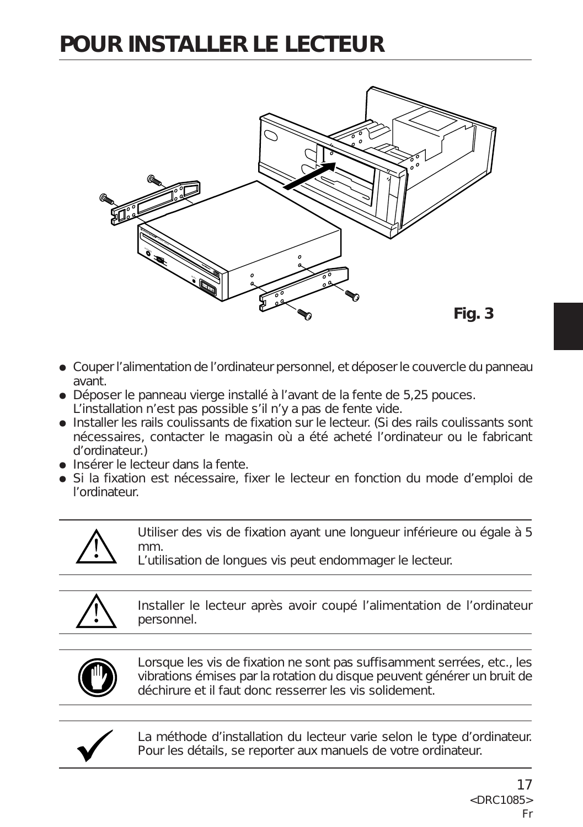## **POUR INSTALLER LE LECTEUR**



- ÷ Couper l'alimentation de l'ordinateur personnel, et déposer le couvercle du panneau avant.
- ÷ Déposer le panneau vierge installé à l'avant de la fente de 5,25 pouces. L'installation n'est pas possible s'il n'y a pas de fente vide.
- Installer les rails coulissants de fixation sur le lecteur. (Si des rails coulissants sont nécessaires, contacter le magasin où a été acheté l'ordinateur ou le fabricant d'ordinateur.)
- ÷ Insérer le lecteur dans la fente.
- ÷ Si la fixation est nécessaire, fixer le lecteur en fonction du mode d'emploi de l'ordinateur.



Utiliser des vis de fixation ayant une longueur inférieure ou égale à 5 mm.

L'utilisation de longues vis peut endommager le lecteur.



Installer le lecteur après avoir coupé l'alimentation de l'ordinateur personnel.



Lorsque les vis de fixation ne sont pas suffisamment serrées, etc., les vibrations émises par la rotation du disque peuvent générer un bruit de déchirure et il faut donc resserrer les vis solidement.



La méthode d'installation du lecteur varie selon le type d'ordinateur. Pour les détails, se reporter aux manuels de votre ordinateur.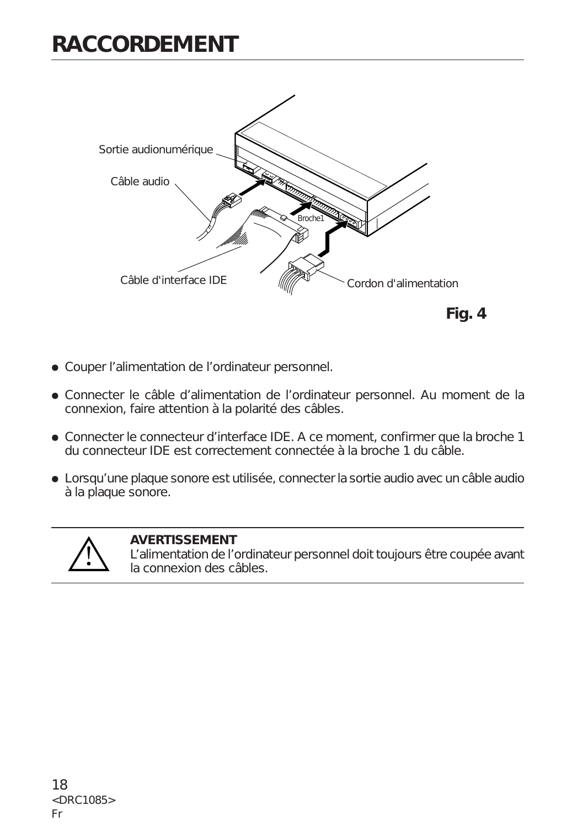## **RACCORDEMENT**



- ÷ Couper l'alimentation de l'ordinateur personnel.
- ÷ Connecter le câble d'alimentation de l'ordinateur personnel. Au moment de la connexion, faire attention à la polarité des câbles.
- ÷ Connecter le connecteur d'interface IDE. A ce moment, confirmer que la broche 1 du connecteur IDE est correctement connectée à la broche 1 du câble.
- ÷ Lorsqu'une plaque sonore est utilisée, connecter la sortie audio avec un câble audio à la plaque sonore.



#### **AVERTISSEMENT**

L'alimentation de l'ordinateur personnel doit toujours être coupée avant la connexion des câbles.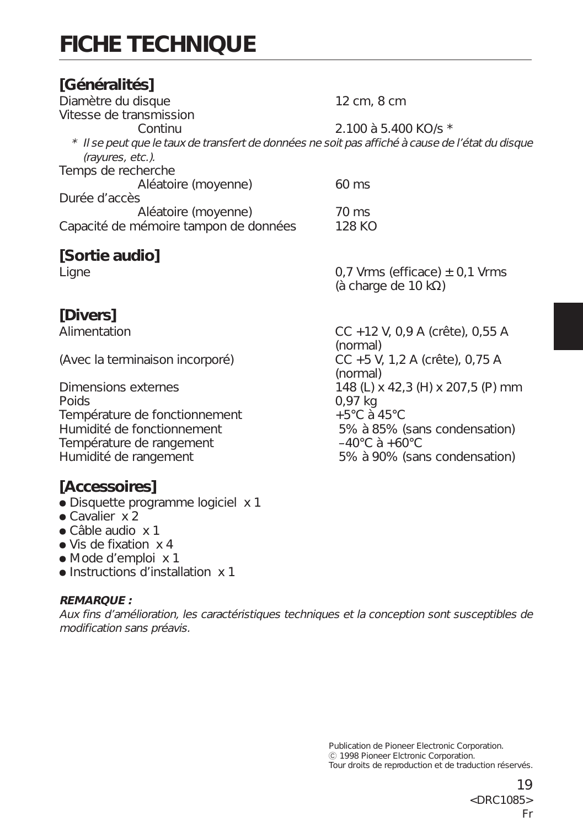# **FICHE TECHNIQUE**

#### **[Généralités]** Diamètre du disque 12 cm, 8 cm Vitesse de transmission Continu 2.100 à 5.400 KO/s \* \* Il se peut que le taux de transfert de données ne soit pas affiché à cause de l'état du disque (rayures, etc.). Temps de recherche Aléatoire (moyenne) 60 ms Durée d'accès Aléatoire (moyenne) 70 ms<br>némoire tampon de données 128 KO Capacité de mémoire tampon de données **[Sortie audio]** Ligne 0,7 Vrms (efficace) ± 0,1 Vrms (à charge de 10 kΩ)

**[Divers]**

Température de fonctionnement<br>
Humidité de fonctionnement<br>
5% à 85% ( Température de rangement  $-40^{\circ}$ C à +60 $^{\circ}$ C Humidité de rangement 5% à 90% (sans condensation)

## **[Accessoires]**

- Disquette programme logiciel x 1
- $\bullet$  Cavalier  $\times$  2
- Câble audio x 1
- Vis de fixation x 4
- ÷ Mode d'emploi x 1
- ÷ Instructions d'installation x 1

#### **REMARQUE :**

Aux fins d'amélioration, les caractéristiques techniques et la conception sont susceptibles de modification sans préavis.

Alimentation CC +12 V, 0,9 A (crête), 0,55 A (normal) (Avec la terminaison incorporé) CC +5 V, 1,2 A (crête), 0,75 A (normal) Dimensions externes  $148$  (L) x 42,3 (H) x 207,5 (P) mm<br>Poids  $0.97$  kg 5% à 85% (sans condensation)

> Publication de Pioneer Electronic Corporation. C 1998 Pioneer Elctronic Corporation. Tour droits de reproduction et de traduction réservés.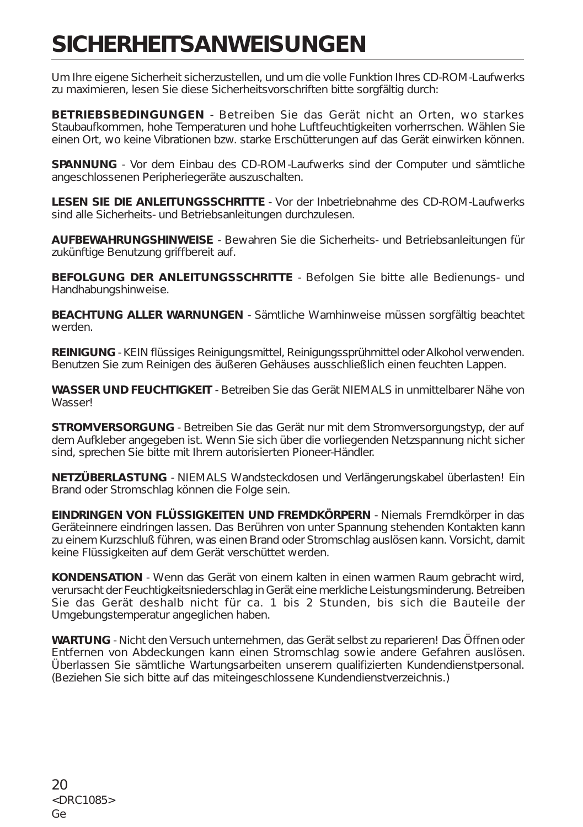## **SICHERHEITSANWEISUNGEN**

Um Ihre eigene Sicherheit sicherzustellen, und um die volle Funktion Ihres CD-ROM-Laufwerks zu maximieren, lesen Sie diese Sicherheitsvorschriften bitte sorgfältig durch:

**BETRIEBSBEDINGUNGEN** - Betreiben Sie das Gerät nicht an Orten, wo starkes Staubaufkommen, hohe Temperaturen und hohe Luftfeuchtigkeiten vorherrschen. Wählen Sie einen Ort, wo keine Vibrationen bzw. starke Erschütterungen auf das Gerät einwirken können.

**SPANNUNG** - Vor dem Einbau des CD-ROM-Laufwerks sind der Computer und sämtliche angeschlossenen Peripheriegeräte auszuschalten.

**LESEN SIE DIE ANLEITUNGSSCHRITTE** - Vor der Inbetriebnahme des CD-ROM-Laufwerks sind alle Sicherheits- und Betriebsanleitungen durchzulesen.

**AUFBEWAHRUNGSHINWEISE** - Bewahren Sie die Sicherheits- und Betriebsanleitungen für zukünftige Benutzung griffbereit auf.

**BEFOLGUNG DER ANLEITUNGSSCHRITTE** - Befolgen Sie bitte alle Bedienungs- und Handhabungshinweise.

**BEACHTUNG ALLER WARNUNGEN** - Sämtliche Warnhinweise müssen sorgfältig beachtet werden.

**REINIGUNG** - KEIN flüssiges Reinigungsmittel, Reinigungssprühmittel oder Alkohol verwenden. Benutzen Sie zum Reinigen des äußeren Gehäuses ausschließlich einen feuchten Lappen.

**WASSER UND FEUCHTIGKEIT** - Betreiben Sie das Gerät NIEMALS in unmittelbarer Nähe von Wasser!

**STROMVERSORGUNG** - Betreiben Sie das Gerät nur mit dem Stromversorgungstyp, der auf dem Aufkleber angegeben ist. Wenn Sie sich über die vorliegenden Netzspannung nicht sicher sind, sprechen Sie bitte mit Ihrem autorisierten Pioneer-Händler.

**NETZÜBERLASTUNG** - NIEMALS Wandsteckdosen und Verlängerungskabel überlasten! Ein Brand oder Stromschlag können die Folge sein.

**EINDRINGEN VON FLÜSSIGKEITEN UND FREMDKÖRPERN** - Niemals Fremdkörper in das Geräteinnere eindringen lassen. Das Berühren von unter Spannung stehenden Kontakten kann zu einem Kurzschluß führen, was einen Brand oder Stromschlag auslösen kann. Vorsicht, damit keine Flüssigkeiten auf dem Gerät verschüttet werden.

**KONDENSATION** - Wenn das Gerät von einem kalten in einen warmen Raum gebracht wird, verursacht der Feuchtigkeitsniederschlag in Gerät eine merkliche Leistungsminderung. Betreiben Sie das Gerät deshalb nicht für ca. 1 bis 2 Stunden, bis sich die Bauteile der Umgebungstemperatur angeglichen haben.

**WARTUNG** - Nicht den Versuch unternehmen, das Gerät selbst zu reparieren! Das Öffnen oder Entfernen von Abdeckungen kann einen Stromschlag sowie andere Gefahren auslösen. Überlassen Sie sämtliche Wartungsarbeiten unserem qualifizierten Kundendienstpersonal. (Beziehen Sie sich bitte auf das miteingeschlossene Kundendienstverzeichnis.)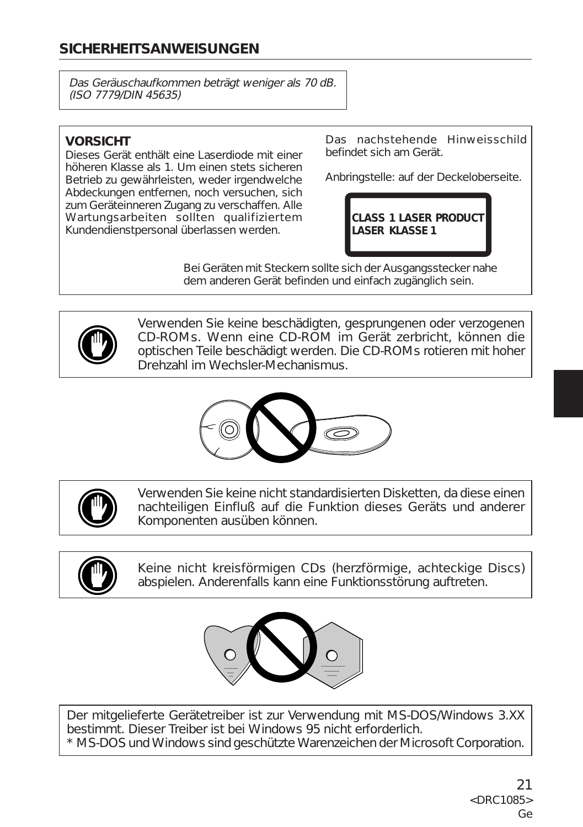## **SICHERHEITSANWEISUNGEN**

Das Geräuschaufkommen beträgt weniger als 70 dB. (ISO 7779/DIN 45635)

### **VORSICHT**

Dieses Gerät enthält eine Laserdiode mit einer höheren Klasse als 1. Um einen stets sicheren Betrieb zu gewährleisten, weder irgendwelche Abdeckungen entfernen, noch versuchen, sich zum Geräteinneren Zugang zu verschaffen. Alle Wartungsarbeiten sollten qualifiziertem Kundendienstpersonal überlassen werden.

Das nachstehende Hinweisschild befindet sich am Gerät.

Anbringstelle: auf der Deckeloberseite.

**CLASS 1 LASER PRODUCT LASER KLASSE 1**

Bei Geräten mit Steckern sollte sich der Ausgangsstecker nahe dem anderen Gerät befinden und einfach zugänglich sein.



Verwenden Sie keine beschädigten, gesprungenen oder verzogenen CD-ROMs. Wenn eine CD-ROM im Gerät zerbricht, können die optischen Teile beschädigt werden. Die CD-ROMs rotieren mit hoher Drehzahl im Wechsler-Mechanismus.





Verwenden Sie keine nicht standardisierten Disketten, da diese einen nachteiligen Einfluß auf die Funktion dieses Geräts und anderer Komponenten ausüben können.



Keine nicht kreisförmigen CDs (herzförmige, achteckige Discs) abspielen. Anderenfalls kann eine Funktionsstörung auftreten.



Der mitgelieferte Gerätetreiber ist zur Verwendung mit MS-DOS/Windows 3.XX bestimmt. Dieser Treiber ist bei Windows 95 nicht erforderlich. \* MS-DOS und Windows sind geschützte Warenzeichen der Microsoft Corporation.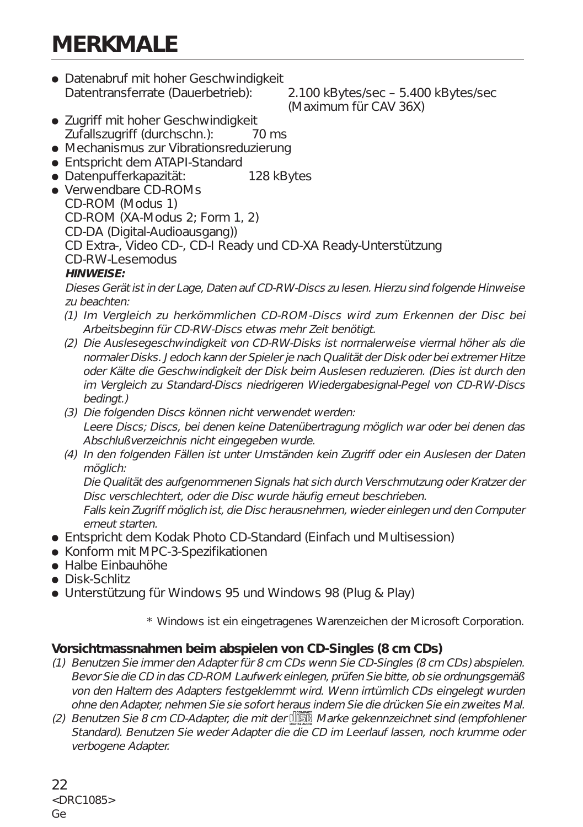## **MERKMALE**

• Datenabruf mit hoher Geschwindigkeit Datentransferrate (Dauerbetrieb): 2.100 kBytes/sec – 5.400 kBytes/sec

(Maximum für CAV 36X)

- Zugriff mit hoher Geschwindigkeit Zufallszugriff (durchschn.): 70 ms
- Mechanismus zur Vibrationsreduzierung
- Entspricht dem ATAPI-Standard
- Datenpufferkapazität: 128 kBytes
- Verwendbare CD-ROMs CD-ROM (Modus 1) CD-ROM (XA-Modus 2; Form 1, 2) CD-DA (Digital-Audioausgang)) CD Extra-, Video CD-, CD-I Ready und CD-XA Ready-Unterstützung CD-RW-Lesemodus

#### **HINWEISE:**

Dieses Gerät ist in der Lage, Daten auf CD-RW-Discs zu lesen. Hierzu sind folgende Hinweise zu beachten:

- (1) Im Vergleich zu herkömmlichen CD-ROM-Discs wird zum Erkennen der Disc bei Arbeitsbeginn für CD-RW-Discs etwas mehr Zeit benötigt.
- (2) Die Auslesegeschwindigkeit von CD-RW-Disks ist normalerweise viermal höher als die normaler Disks. Jedoch kann der Spieler je nach Qualität der Disk oder bei extremer Hitze oder Kälte die Geschwindigkeit der Disk beim Auslesen reduzieren. (Dies ist durch den im Vergleich zu Standard-Discs niedrigeren Wiedergabesignal-Pegel von CD-RW-Discs bedingt.)
- (3) Die folgenden Discs können nicht verwendet werden: Leere Discs; Discs, bei denen keine Datenübertragung möglich war oder bei denen das Abschlußverzeichnis nicht eingegeben wurde.
- (4) In den folgenden Fällen ist unter Umständen kein Zugriff oder ein Auslesen der Daten möglich:

Die Qualität des aufgenommenen Signals hat sich durch Verschmutzung oder Kratzer der Disc verschlechtert, oder die Disc wurde häufig erneut beschrieben.

Falls kein Zugriff möglich ist, die Disc herausnehmen, wieder einlegen und den Computer erneut starten.

- Entspricht dem Kodak Photo CD-Standard (Einfach und Multisession)
- Konform mit MPC-3-Spezifikationen
- Halbe Einbauhöhe
- Disk-Schlitz
- Unterstützung für Windows 95 und Windows 98 (Plug & Play)

\* Windows ist ein eingetragenes Warenzeichen der Microsoft Corporation.

#### **Vorsichtmassnahmen beim abspielen von CD-Singles (8 cm CDs)**

- (1) Benutzen Sie immer den Adapter für 8 cm CDs wenn Sie CD-Singles (8 cm CDs) abspielen. Bevor Sie die CD in das CD-ROM Laufwerk einlegen, prüfen Sie bitte, ob sie ordnungsgemäß von den Haltern des Adapters festgeklemmt wird. Wenn irrtümlich CDs eingelegt wurden ohne den Adapter, nehmen Sie sie sofort heraus indem Sie die drücken Sie ein zweites Mal.
- (2) Benutzen Sie 8 cm CD-Adapter, die mit der de Marke gekennzeichnet sind (empfohlener Standard). Benutzen Sie weder Adapter die die CD im Leerlauf lassen, noch krumme oder verbogene Adapter.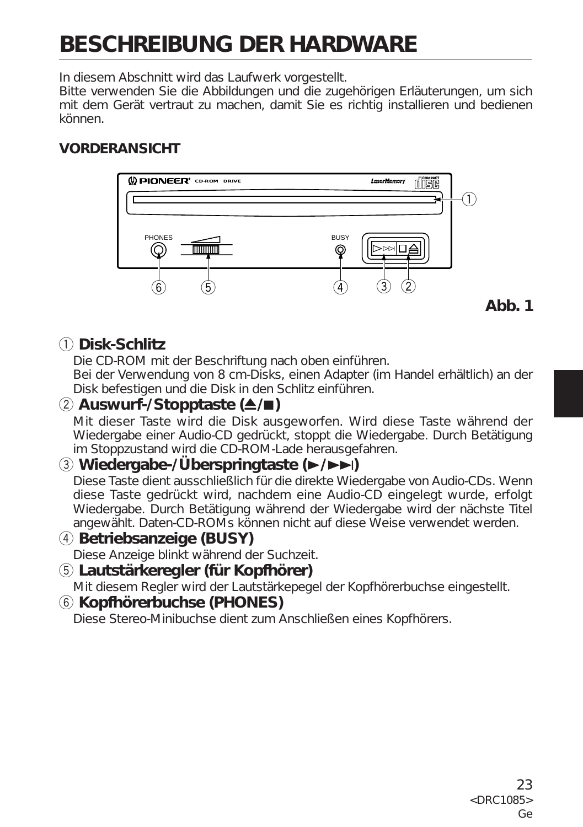# **BESCHREIBUNG DER HARDWARE**

In diesem Abschnitt wird das Laufwerk vorgestellt.

Bitte verwenden Sie die Abbildungen und die zugehörigen Erläuterungen, um sich mit dem Gerät vertraut zu machen, damit Sie es richtig installieren und bedienen können.

## **VORDERANSICHT**



## 1 **Disk-Schlitz**

Die CD-ROM mit der Beschriftung nach oben einführen.

Bei der Verwendung von 8 cm-Disks, einen Adapter (im Handel erhältlich) an der Disk befestigen und die Disk in den Schlitz einführen.

## 2 **Auswurf-/Stopptaste (**0**/**7**)**

Mit dieser Taste wird die Disk ausgeworfen. Wird diese Taste während der Wiedergabe einer Audio-CD gedrückt, stoppt die Wiedergabe. Durch Betätigung im Stoppzustand wird die CD-ROM-Lade herausgefahren.

### 3 **Wiedergabe-/Überspringtaste (**3**/**¢**)**

Diese Taste dient ausschließlich für die direkte Wiedergabe von Audio-CDs. Wenn diese Taste gedrückt wird, nachdem eine Audio-CD eingelegt wurde, erfolgt Wiedergabe. Durch Betätigung während der Wiedergabe wird der nächste Titel angewählt. Daten-CD-ROMs können nicht auf diese Weise verwendet werden.

### 4 **Betriebsanzeige (BUSY)**

Diese Anzeige blinkt während der Suchzeit.

## 5 **Lautstärkeregler (für Kopfhörer)**

Mit diesem Regler wird der Lautstärkepegel der Kopfhörerbuchse eingestellt.

### 6 **Kopfhörerbuchse (PHONES)**

Diese Stereo-Minibuchse dient zum Anschließen eines Kopfhörers.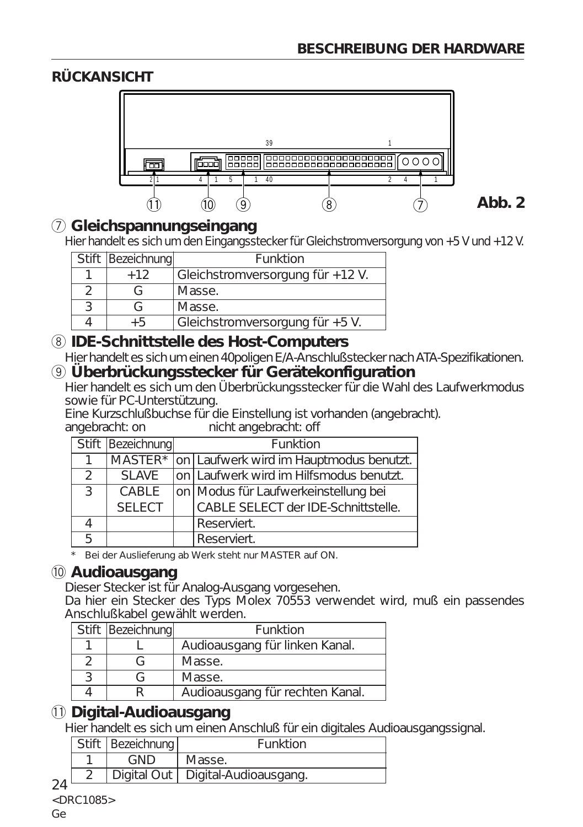**Abb. 2**

## **RÜCKANSICHT**



### 7 **Gleichspannungseingang**

Hier handelt es sich um den Eingangsstecker für Gleichstromversorgung von +5 V und +12 V.

| Stift Bezeichnung | Funktion                         |
|-------------------|----------------------------------|
| $+12$             | Gleichstromversorgung für +12 V. |
|                   | Masse.                           |
| ( –               | Masse.                           |
| $+5$              | Gleichstromversorgung für +5 V.  |
|                   |                                  |

### 8 **IDE-Schnittstelle des Host-Computers**

Hier handelt es sich um einen 40poligen E/A-Anschlußstecker nach ATA-Spezifikationen.

### 9 **Überbrückungsstecker für Gerätekonfiguration**

Hier handelt es sich um den Überbrückungsstecker für die Wahl des Laufwerkmodus sowie für PC-Unterstützung.

Eine Kurzschlußbuchse für die Einstellung ist vorhanden (angebracht). nicht angebracht: off

|               | Stift   Bezeichnung | Funktion                                        |
|---------------|---------------------|-------------------------------------------------|
|               |                     | MASTER* on Laufwerk wird im Hauptmodus benutzt. |
| $\mathcal{D}$ | SI AVE              | on Laufwerk wird im Hilfsmodus benutzt.         |
| $\mathcal{L}$ | CABLE               | on Modus für Laufwerkeinstellung bei            |
|               | <b>SELECT</b>       | CABLE SELECT der IDE-Schnittstelle.             |
|               |                     | Reserviert.                                     |
|               |                     | Reserviert.                                     |

\* Bei der Auslieferung ab Werk steht nur MASTER auf ON.

### 0 **Audioausgang**

Dieser Stecker ist für Analog-Ausgang vorgesehen.

Da hier ein Stecker des Typs Molex 70553 verwendet wird, muß ein passendes Anschlußkabel gewählt werden.

| Stift Bezeichnung | Funktion                        |
|-------------------|---------------------------------|
|                   | Audioausgang für linken Kanal.  |
|                   | Masse.                          |
|                   | Masse.                          |
|                   | Audioausgang für rechten Kanal. |

## - **Digital-Audioausgang**

Hier handelt es sich um einen Anschluß für ein digitales Audioausgangssignal.

|  | Stift   Bezeichnung | Funktion                            |
|--|---------------------|-------------------------------------|
|  | <b>GND</b>          | Masse.                              |
|  |                     | Digital Out   Digital-Audioausgang. |

24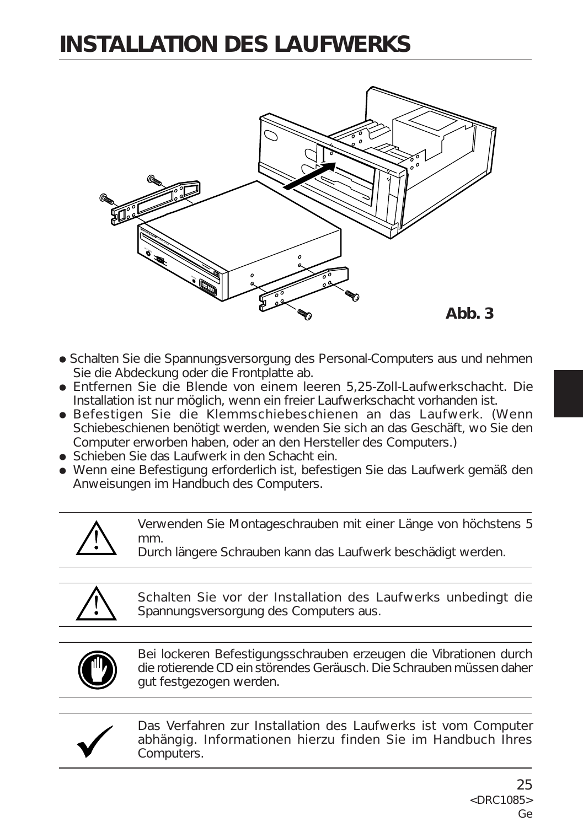## **INSTALLATION DES LAUFWERKS**



- Schalten Sie die Spannungsversorgung des Personal-Computers aus und nehmen Sie die Abdeckung oder die Frontplatte ab.
- ÷ Entfernen Sie die Blende von einem leeren 5,25-Zoll-Laufwerkschacht. Die Installation ist nur möglich, wenn ein freier Laufwerkschacht vorhanden ist.
- ÷ Befestigen Sie die Klemmschiebeschienen an das Laufwerk. (Wenn Schiebeschienen benötigt werden, wenden Sie sich an das Geschäft, wo Sie den Computer erworben haben, oder an den Hersteller des Computers.)
- Schieben Sie das Laufwerk in den Schacht ein.
- ÷ Wenn eine Befestigung erforderlich ist, befestigen Sie das Laufwerk gemäß den Anweisungen im Handbuch des Computers.

Verwenden Sie Montageschrauben mit einer Länge von höchstens 5 mm.

Durch längere Schrauben kann das Laufwerk beschädigt werden.



Schalten Sie vor der Installation des Laufwerks unbedingt die Spannungsversorgung des Computers aus.



Bei lockeren Befestigungsschrauben erzeugen die Vibrationen durch die rotierende CD ein störendes Geräusch. Die Schrauben müssen daher gut festgezogen werden.



Das Verfahren zur Installation des Laufwerks ist vom Computer abhängig. Informationen hierzu finden Sie im Handbuch Ihres Computers.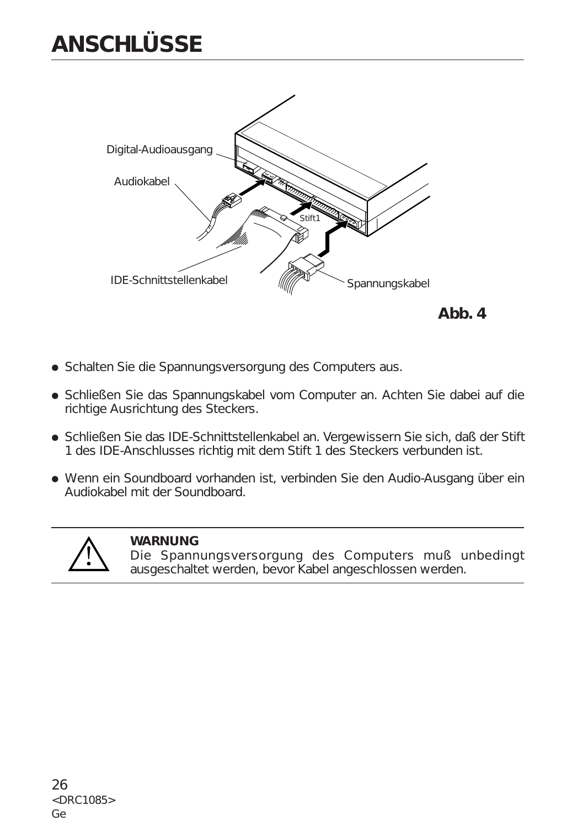## **ANSCHLÜSSE**





- ÷ Schalten Sie die Spannungsversorgung des Computers aus.
- ÷ Schließen Sie das Spannungskabel vom Computer an. Achten Sie dabei auf die richtige Ausrichtung des Steckers.
- ÷ Schließen Sie das IDE-Schnittstellenkabel an. Vergewissern Sie sich, daß der Stift 1 des IDE-Anschlusses richtig mit dem Stift 1 des Steckers verbunden ist.
- Wenn ein Soundboard vorhanden ist, verbinden Sie den Audio-Ausgang über ein Audiokabel mit der Soundboard.



#### **WARNUNG**

Die Spannungsversorgung des Computers muß unbedingt ausgeschaltet werden, bevor Kabel angeschlossen werden.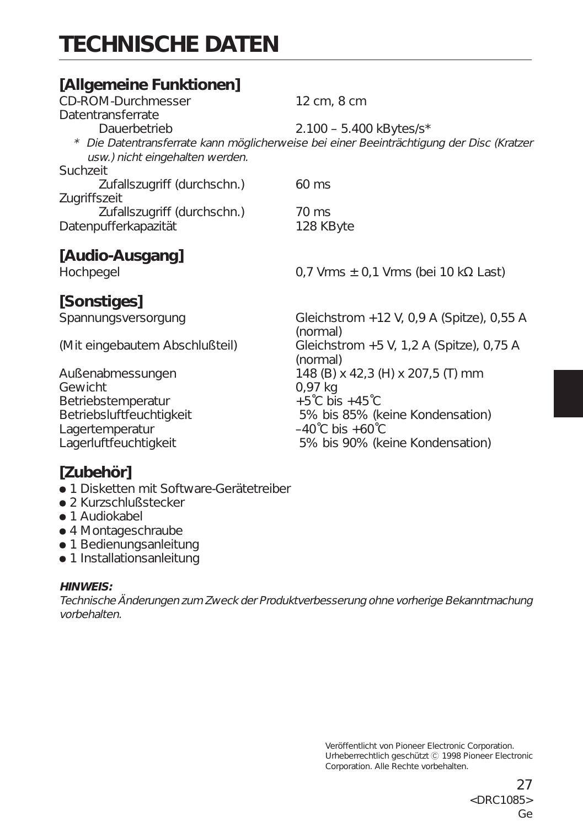# **TECHNISCHE DATEN**

## **[Allgemeine Funktionen]**

| CD-ROM-Durchmesser              | 12 cm, 8 cm                                                                              |
|---------------------------------|------------------------------------------------------------------------------------------|
| Datentransferrate               |                                                                                          |
| Dauerbetrieb                    | $2.100 - 5.400$ kBytes/s*                                                                |
| usw.) nicht eingehalten werden. | * Die Datentransferrate kann möglicherweise bei einer Beeinträchtigung der Disc (Kratzer |
| Suchzeit                        |                                                                                          |
| Zufallszugriff (durchschn.)     | $60 \text{ ms}$                                                                          |
| Zugriffszeit                    |                                                                                          |
| Zufallszugriff (durchschn.)     | 70 ms                                                                                    |
| Datenpufferkapazität            | 128 KByte                                                                                |
| [Audio-Ausgang]                 |                                                                                          |
| Hochpegel                       | 0,7 Vrms $\pm$ 0,1 Vrms (bei 10 k $\Omega$ Last)                                         |

## **[Sonstiges]**

Gewicht<br>Betriebstemperatur<br> $+5^{\circ}$ C bis +45<sup>°</sup>C Betriebstemperatur Lagertemperatur<br>Lagerluftfeuchtigkeit

Spannungsversorgung Gleichstrom +12 V, 0,9 A (Spitze), 0,55 A (normal) (Mit eingebautem Abschlußteil) Gleichstrom +5 V, 1,2 A (Spitze), 0,75 A (normal) Außenabmessungen 148 (B) x 42,3 (H) x 207,5 (T) mm Betriebsluftfeuchtigkeit 5% bis 85% (keine Kondensation)<br>Lagertemperatur -40°C bis +60°C 5% bis 90% (keine Kondensation)

## **[Zubehör]**

- 1 Disketten mit Software-Gerätetreiber
- 2 Kurzschlußstecker
- $\bullet$  1 Audiokabel
- 4 Montageschraube
- 1 Bedienungsanleitung
- 1 Installationsanleitung

#### **HINWEIS:**

Technische Änderungen zum Zweck der Produktverbesserung ohne vorherige Bekanntmachung vorbehalten.

> Veröffentlicht von Pioneer Electronic Corporation. Urheberrechtlich geschützt C 1998 Pioneer Electronic Corporation. Alle Rechte vorbehalten.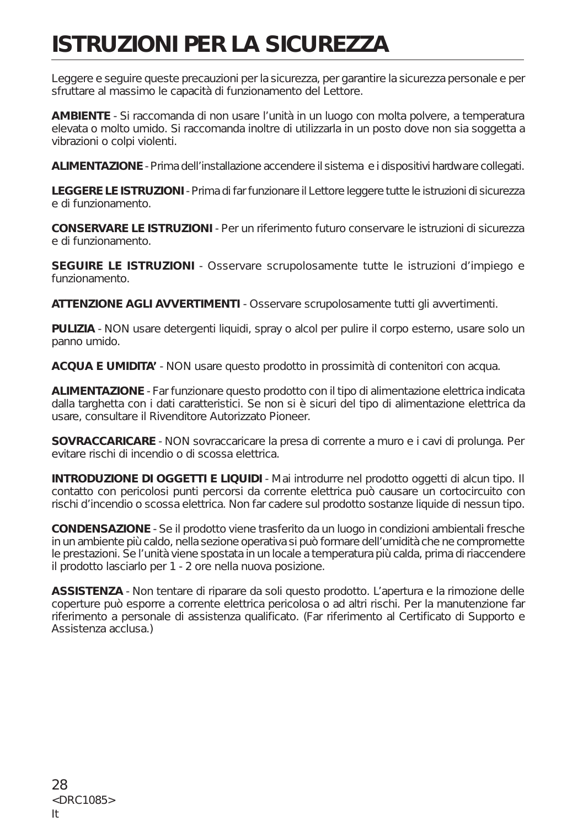# **ISTRUZIONI PER LA SICUREZZA**

Leggere e seguire queste precauzioni per la sicurezza, per garantire la sicurezza personale e per sfruttare al massimo le capacità di funzionamento del Lettore.

**AMBIENTE** - Si raccomanda di non usare l'unità in un luogo con molta polvere, a temperatura elevata o molto umido. Si raccomanda inoltre di utilizzarla in un posto dove non sia soggetta a vibrazioni o colpi violenti

**ALIMENTAZIONE** - Prima dell'installazione accendere il sistema e i dispositivi hardware collegati.

**LEGGERE LE ISTRUZIONI** - Prima di far funzionare il Lettore leggere tutte le istruzioni di sicurezza e di funzionamento.

**CONSERVARE LE ISTRUZIONI** - Per un riferimento futuro conservare le istruzioni di sicurezza e di funzionamento.

**SEGUIRE LE ISTRUZIONI** - Osservare scrupolosamente tutte le istruzioni d'impiego e funzionamento.

**ATTENZIONE AGLI AVVERTIMENTI** - Osservare scrupolosamente tutti gli avvertimenti.

**PULIZIA** - NON usare detergenti liquidi, spray o alcol per pulire il corpo esterno, usare solo un panno umido.

**ACQUA E UMIDITA'** - NON usare questo prodotto in prossimità di contenitori con acqua.

**ALIMENTAZIONE** - Far funzionare questo prodotto con il tipo di alimentazione elettrica indicata dalla targhetta con i dati caratteristici. Se non si è sicuri del tipo di alimentazione elettrica da usare, consultare il Rivenditore Autorizzato Pioneer.

**SOVRACCARICARE** - NON sovraccaricare la presa di corrente a muro e i cavi di prolunga. Per evitare rischi di incendio o di scossa elettrica.

**INTRODUZIONE DI OGGETTI E LIQUIDI** - Mai introdurre nel prodotto oggetti di alcun tipo. Il contatto con pericolosi punti percorsi da corrente elettrica può causare un cortocircuito con rischi d'incendio o scossa elettrica. Non far cadere sul prodotto sostanze liquide di nessun tipo.

**CONDENSAZIONE** - Se il prodotto viene trasferito da un luogo in condizioni ambientali fresche in un ambiente più caldo, nella sezione operativa si può formare dell'umidità che ne compromette le prestazioni. Se l'unità viene spostata in un locale a temperatura più calda, prima di riaccendere il prodotto lasciarlo per 1 - 2 ore nella nuova posizione.

**ASSISTENZA** - Non tentare di riparare da soli questo prodotto. L'apertura e la rimozione delle coperture può esporre a corrente elettrica pericolosa o ad altri rischi. Per la manutenzione far riferimento a personale di assistenza qualificato. (Far riferimento al Certificato di Supporto e Assistenza acclusa.)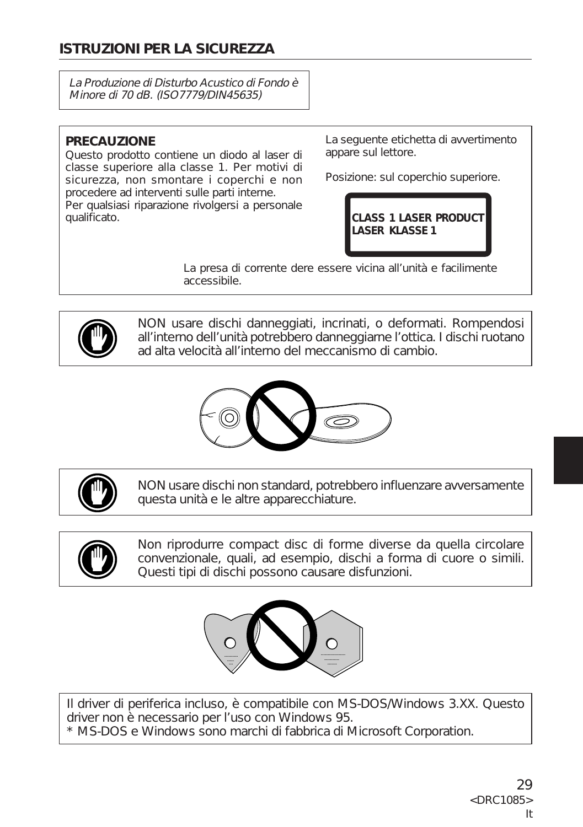## **ISTRUZIONI PER LA SICUREZZA**

La Produzione di Disturbo Acustico di Fondo è Minore di 70 dB. (ISO7779/DIN45635)

#### **PRECAUZIONE**

Questo prodotto contiene un diodo al laser di classe superiore alla classe 1. Per motivi di sicurezza, non smontare i coperchi e non procedere ad interventi sulle parti interne. Per qualsiasi riparazione rivolgersi a personale qualificato.

La seguente etichetta di avvertimento appare sul lettore.

Posizione: sul coperchio superiore.



La presa di corrente dere essere vicina all'unità e facilimente accessibile.



NON usare dischi danneggiati, incrinati, o deformati. Rompendosi all'interno dell'unità potrebbero danneggiarne l'ottica. I dischi ruotano ad alta velocità all'interno del meccanismo di cambio.





NON usare dischi non standard, potrebbero influenzare avversamente questa unità e le altre apparecchiature.



Non riprodurre compact disc di forme diverse da quella circolare convenzionale, quali, ad esempio, dischi a forma di cuore o simili. Questi tipi di dischi possono causare disfunzioni.



Il driver di periferica incluso, è compatibile con MS-DOS/Windows 3.XX. Questo driver non è necessario per l'uso con Windows 95. \* MS-DOS e Windows sono marchi di fabbrica di Microsoft Corporation.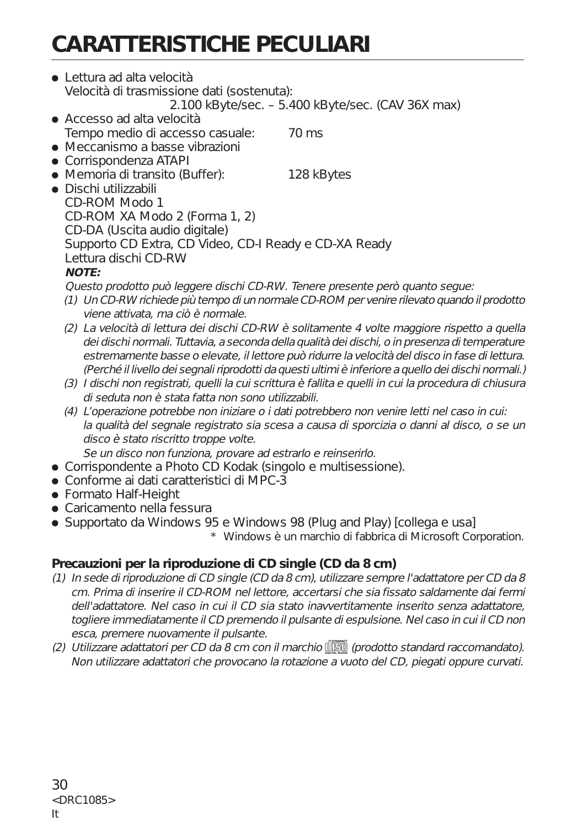# **CARATTERISTICHE PECULIARI**

- ÷ Lettura ad alta velocità Velocità di trasmissione dati (sostenuta): 2.100 kByte/sec. – 5.400 kByte/sec. (CAV 36X max)
- ÷ Accesso ad alta velocità Tempo medio di accesso casuale: 70 ms
- Meccanismo a basse vibrazioni
- Corrispondenza ATAPI
- Memoria di transito (Buffer): 128 kBytes

÷ Dischi utilizzabili CD-ROM Modo 1 CD-ROM XA Modo 2 (Forma 1, 2) CD-DA (Uscita audio digitale) Supporto CD Extra, CD Video, CD-I Ready e CD-XA Ready Lettura dischi CD-RW **NOTE:**

Questo prodotto può leggere dischi CD-RW. Tenere presente però quanto segue:

- (1) Un CD-RW richiede più tempo di un normale CD-ROM per venire rilevato quando il prodotto viene attivata, ma ciò è normale.
- (2) La velocità di lettura dei dischi CD-RW è solitamente 4 volte maggiore rispetto a quella dei dischi normali. Tuttavia, a seconda della qualità dei dischi, o in presenza di temperature estremamente basse o elevate, il lettore può ridurre la velocità del disco in fase di lettura. (Perché il livello dei segnali riprodotti da questi ultimi è inferiore a quello dei dischi normali.)
- (3) I dischi non registrati, quelli la cui scrittura è fallita e quelli in cui la procedura di chiusura di seduta non è stata fatta non sono utilizzabili.
- (4) L'operazione potrebbe non iniziare o i dati potrebbero non venire letti nel caso in cui: la qualità del segnale registrato sia scesa a causa di sporcizia o danni al disco, o se un disco è stato riscritto troppe volte.

Se un disco non funziona, provare ad estrarlo e reinserirlo.

- Corrispondente a Photo CD Kodak (singolo e multisessione).
- ÷ Conforme ai dati caratteristici di MPC-3
- Formato Half-Height
- Caricamento nella fessura
- Supportato da Windows 95 e Windows 98 (Plug and Play) [collega e usa]

\* Windows è un marchio di fabbrica di Microsoft Corporation.

### **Precauzioni per la riproduzione di CD single (CD da 8 cm)**

- (1) In sede di riproduzione di CD single (CD da 8 cm), utilizzare sempre l'adattatore per CD da 8 cm. Prima di inserire il CD-ROM nel lettore, accertarsi che sia fissato saldamente dai fermi dell'adattatore. Nel caso in cui il CD sia stato inavvertitamente inserito senza adattatore, togliere immediatamente il CD premendo il pulsante di espulsione. Nel caso in cui il CD non esca, premere nuovamente il pulsante.
- (2) Utilizzare adattatori per CD da 8 cm con il marchio  $\frac{d}{dS}$  (prodotto standard raccomandato). Non utilizzare adattatori che provocano la rotazione a vuoto del CD, piegati oppure curvati.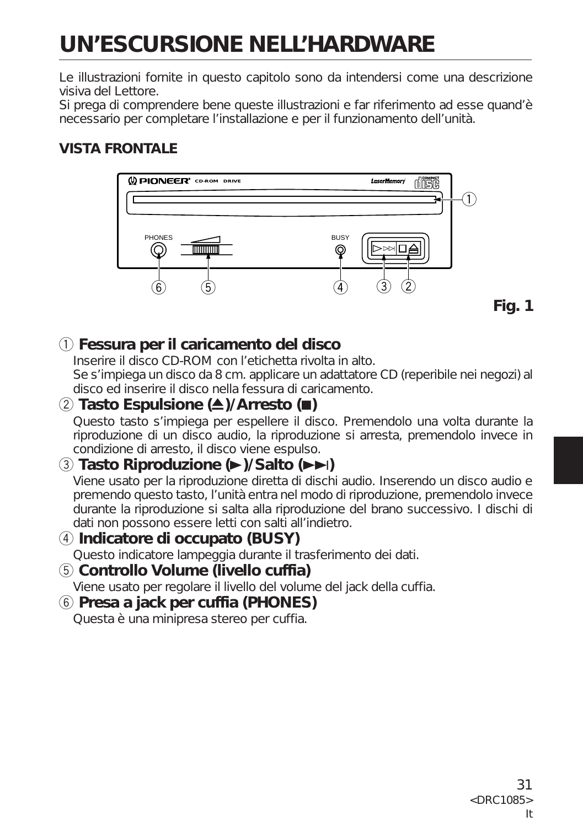# **UN'ESCURSIONE NELL'HARDWARE**

Le illustrazioni fornite in questo capitolo sono da intendersi come una descrizione visiva del Lettore.

Si prega di comprendere bene queste illustrazioni e far riferimento ad esse quand'è necessario per completare l'installazione e per il funzionamento dell'unità.

## **VISTA FRONTALE**



## 1 **Fessura per il caricamento del disco**

Inserire il disco CD-ROM con l'etichetta rivolta in alto. Se s'impiega un disco da 8 cm. applicare un adattatore CD (reperibile nei negozi) al disco ed inserire il disco nella fessura di caricamento.

## 2 **Tasto Espulsione (**0**)/Arresto (**7**)**

Questo tasto s'impiega per espellere il disco. Premendolo una volta durante la riproduzione di un disco audio, la riproduzione si arresta, premendolo invece in condizione di arresto, il disco viene espulso.

## 3 **Tasto Riproduzione (**3**)/Salto (**¢**)**

Viene usato per la riproduzione diretta di dischi audio. Inserendo un disco audio e premendo questo tasto, l'unità entra nel modo di riproduzione, premendolo invece durante la riproduzione si salta alla riproduzione del brano successivo. I dischi di dati non possono essere letti con salti all'indietro.

#### 4 **Indicatore di occupato (BUSY)** Questo indicatore lampeggia durante il trasferimento dei dati.

5 **Controllo Volume (livello cuffia)**

Viene usato per regolare il livello del volume del jack della cuffia.

#### 6 **Presa a jack per cuffia (PHONES)** Questa è una minipresa stereo per cuffia.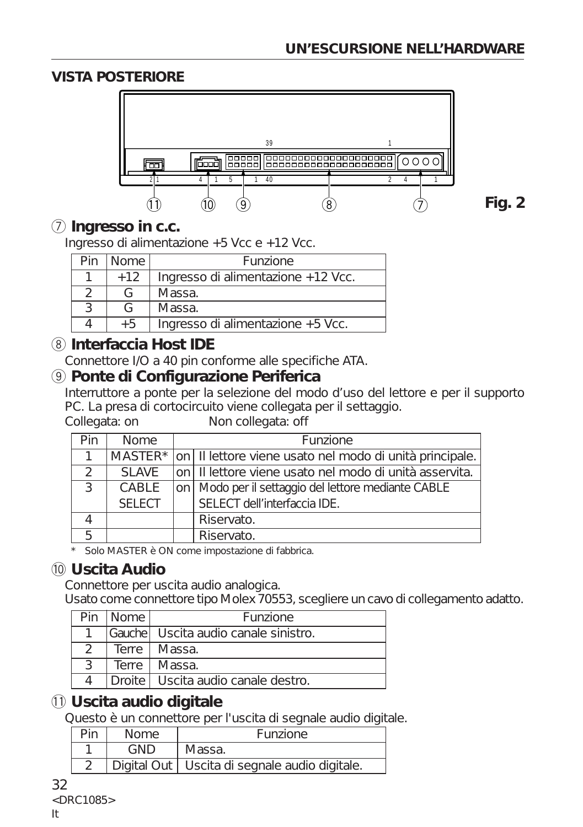### **VISTA POSTERIORE**



**Fig. 2**

### 7 **Ingresso in c.c.**

Ingresso di alimentazione +5 Vcc e +12 Vcc.

| Pin | l Nome | <b>Funzione</b>                    |
|-----|--------|------------------------------------|
|     | $+12$  | Ingresso di alimentazione +12 Vcc. |
|     |        | Massa.                             |
|     |        | Massa.                             |
|     | $+5$   | Ingresso di alimentazione +5 Vcc.  |

## 8 **Interfaccia Host IDE**

Connettore I/O a 40 pin conforme alle specifiche ATA.

### 9 **Ponte di Configurazione Periferica**

Interruttore a ponte per la selezione del modo d'uso del lettore e per il supporto PC. La presa di cortocircuito viene collegata per il settaggio.

Collegata: on Non collegata: off

| Pin | <b>Nome</b>   | <b>Funzione</b> |                                                                 |
|-----|---------------|-----------------|-----------------------------------------------------------------|
|     |               |                 | MASTER* on Il lettore viene usato nel modo di unità principale. |
| 2   | SI AVE        |                 | on   II lettore viene usato nel modo di unità asservita.        |
| 3   | CABLE         |                 | on   Modo per il settaggio del lettore mediante CABLE           |
|     | <b>SELECT</b> |                 | SELECT dell'interfaccia IDE.                                    |
|     |               |                 | Riservato.                                                      |
| 5   |               |                 | Riservato.                                                      |

\* Solo MASTER è ON come impostazione di fabbrica.

## 0 **Uscita Audio**

Connettore per uscita audio analogica.

Usato come connettore tipo Molex 70553, scegliere un cavo di collegamento adatto.

| Pin | l Nome | <b>Funzione</b>                        |
|-----|--------|----------------------------------------|
|     |        | IGauchel Uscita audio canale sinistro. |
|     |        | Terre   Massa.                         |
|     |        | Terre   Massa.                         |
|     |        | Droite   Uscita audio canale destro.   |

## $(1)$  Uscita audio digitale

Questo è un connettore per l'uscita di segnale audio digitale.

| רוֹ | <b>Nome</b> | <b>Funzione</b>                                 |  |
|-----|-------------|-------------------------------------------------|--|
|     | GND         | Massa.                                          |  |
|     |             | Digital Out   Uscita di segnale audio digitale. |  |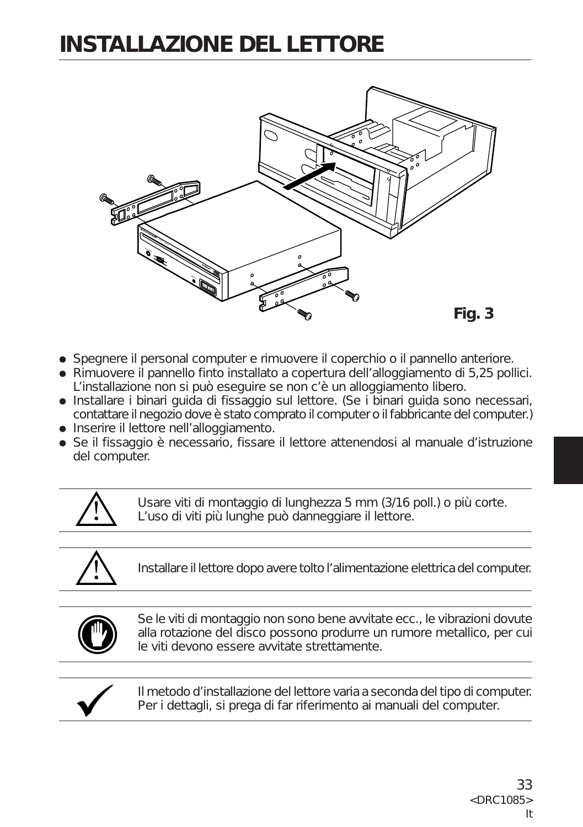## **INSTALLAZIONE DEL LETTORE**



- ÷ Spegnere il personal computer e rimuovere il coperchio o il pannello anteriore.
- ÷ Rimuovere il pannello finto installato a copertura dell'alloggiamento di 5,25 pollici. L'installazione non si può eseguire se non c'è un alloggiamento libero.
- ÷ Installare i binari guida di fissaggio sul lettore. (Se i binari guida sono necessari, contattare il negozio dove è stato comprato il computer o il fabbricante del computer.)
- Inserire il lettore nell'alloggiamento.
- Se il fissaggio è necessario, fissare il lettore attenendosi al manuale d'istruzione del computer.



Usare viti di montaggio di lunghezza 5 mm (3/16 poll.) o più corte. L'uso di viti più lunghe può danneggiare il lettore.

Installare il lettore dopo avere tolto l'alimentazione elettrica del computer.



Se le viti di montaggio non sono bene avvitate ecc., le vibrazioni dovute alla rotazione del disco possono produrre un rumore metallico, per cui le viti devono essere avvitate strettamente.



Il metodo d'installazione del lettore varia a seconda del tipo di computer. Per i dettagli, si prega di far riferimento ai manuali del computer.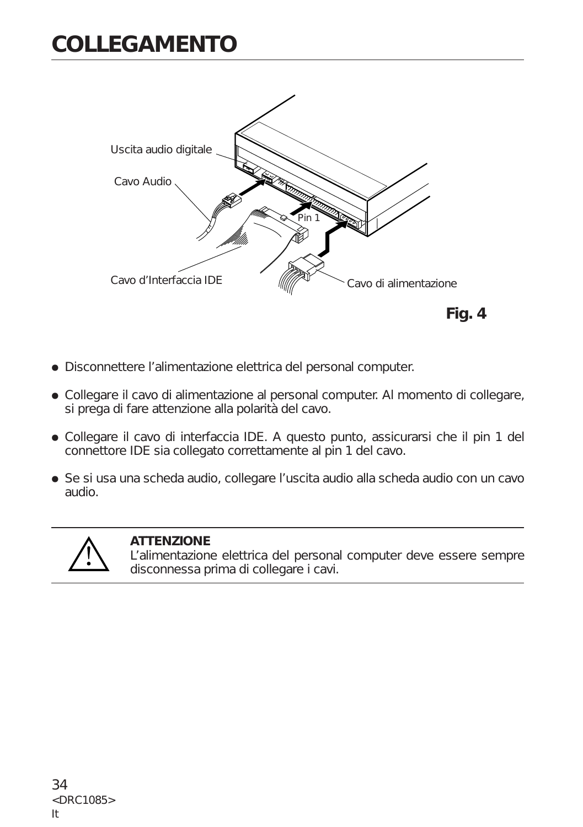## **COLLEGAMENTO**



- ÷ Disconnettere l'alimentazione elettrica del personal computer.
- ÷ Collegare il cavo di alimentazione al personal computer. Al momento di collegare, si prega di fare attenzione alla polarità del cavo.
- ÷ Collegare il cavo di interfaccia IDE. A questo punto, assicurarsi che il pin 1 del connettore IDE sia collegato correttamente al pin 1 del cavo.
- ÷ Se si usa una scheda audio, collegare l'uscita audio alla scheda audio con un cavo audio.



#### **ATTENZIONE**

L'alimentazione elettrica del personal computer deve essere sempre disconnessa prima di collegare i cavi.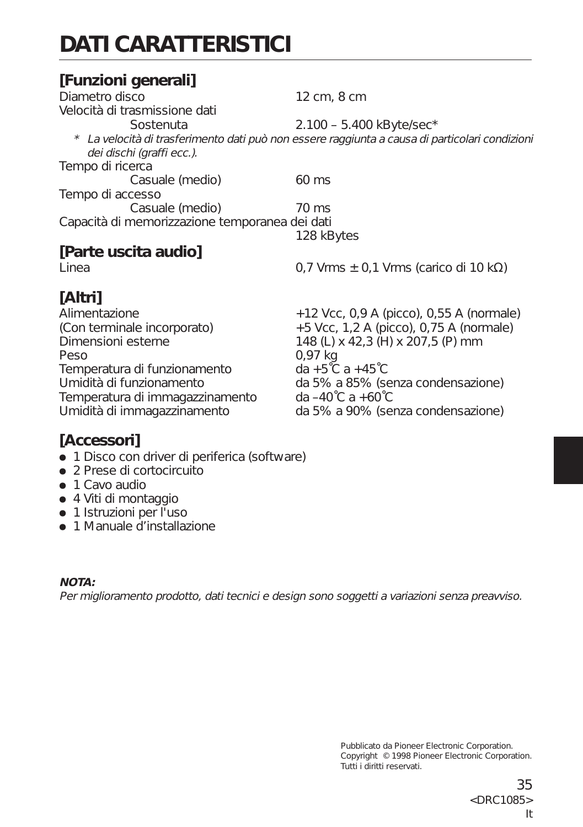# **DATI CARATTERISTICI**

### **[Funzioni generali]** Diametro disco 12 cm, 8 cm Velocità di trasmissione dati Sostenuta 2.100 – 5.400 kByte/sec\* \* La velocità di trasferimento dati può non essere raggiunta a causa di particolari condizioni dei dischi (graffi ecc.). Tempo di ricerca Casuale (medio) 60 ms Tempo di accesso Casuale (medio) 70 ms Capacità di memorizzazione temporanea dei dati 128 kBytes **[Parte uscita audio]** Linea  $0.7 \text{ Vrms } \pm 0.1 \text{ Vrms (carico di } 10 \text{ k}\Omega$ **[Altri]** Alimentazione +12 Vcc, 0,9 A (picco), 0,55 A (normale) (Con terminale incorporato)  $+5$  Vcc, 1,2 A (picco), 0,75 A (normale)<br>Dimensioni esterne  $148$  (L) x 42.3 (H) x 207.5 (P) mm

Peso 0,97 kg Temperatura di funzionamento da +5˚C a +45˚C Temperatura di immagazzinamento

148 (L) x 42,3 (H) x 207,5 (P) mm Umidità di funzionamento da 5% a 85% (senza condensazione)<br>Temperatura di immagazzinamento da -40°C a +60°C Umidità di immagazzinamento da 5% a 90% (senza condensazione)

## **[Accessori]**

- 1 Disco con driver di periferica (software)
- ÷ 2 Prese di cortocircuito
- $\bullet$  1 Cavo audio
- ÷ 4 Viti di montaggio
- 1 Istruzioni per l'uso
- 1 Manuale d'installazione

#### **NOTA:**

Per miglioramento prodotto, dati tecnici e design sono soggetti a variazioni senza preavviso.

Pubblicato da Pioneer Electronic Corporation. Copyright © 1998 Pioneer Electronic Corporation. Tutti i diritti reservati.